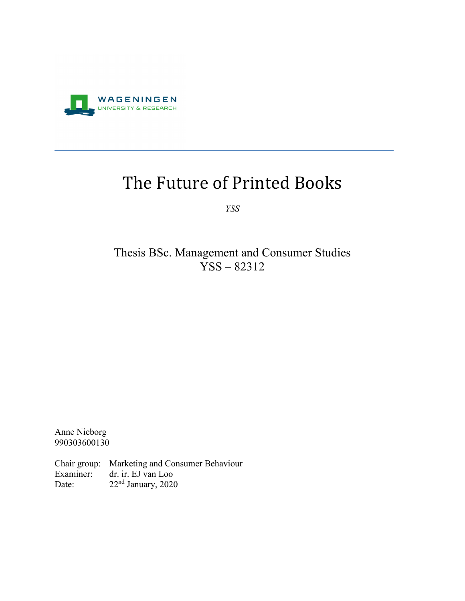

# The Future of Printed Books

*YSS*

Thesis BSc. Management and Consumer Studies YSS – 82312

Anne Nieborg 990303600130

Chair group: Marketing and Consumer Behaviour Examiner: dr. ir. EJ van Loo Date: 22<sup>nd</sup> January, 2020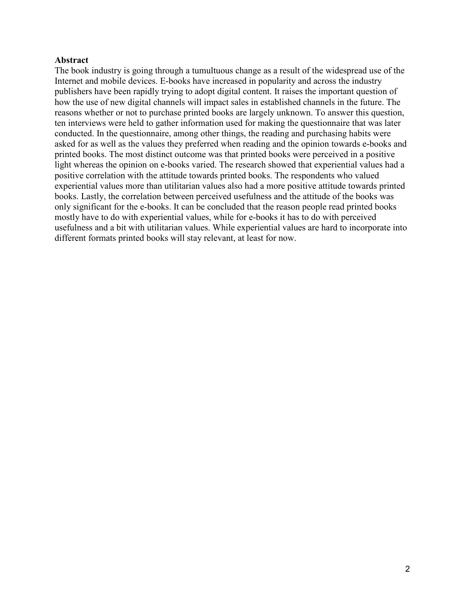#### **Abstract**

The book industry is going through a tumultuous change as a result of the widespread use of the Internet and mobile devices. E-books have increased in popularity and across the industry publishers have been rapidly trying to adopt digital content. It raises the important question of how the use of new digital channels will impact sales in established channels in the future. The reasons whether or not to purchase printed books are largely unknown. To answer this question, ten interviews were held to gather information used for making the questionnaire that was later conducted. In the questionnaire, among other things, the reading and purchasing habits were asked for as well as the values they preferred when reading and the opinion towards e-books and printed books. The most distinct outcome was that printed books were perceived in a positive light whereas the opinion on e-books varied. The research showed that experiential values had a positive correlation with the attitude towards printed books. The respondents who valued experiential values more than utilitarian values also had a more positive attitude towards printed books. Lastly, the correlation between perceived usefulness and the attitude of the books was only significant for the e-books. It can be concluded that the reason people read printed books mostly have to do with experiential values, while for e-books it has to do with perceived usefulness and a bit with utilitarian values. While experiential values are hard to incorporate into different formats printed books will stay relevant, at least for now.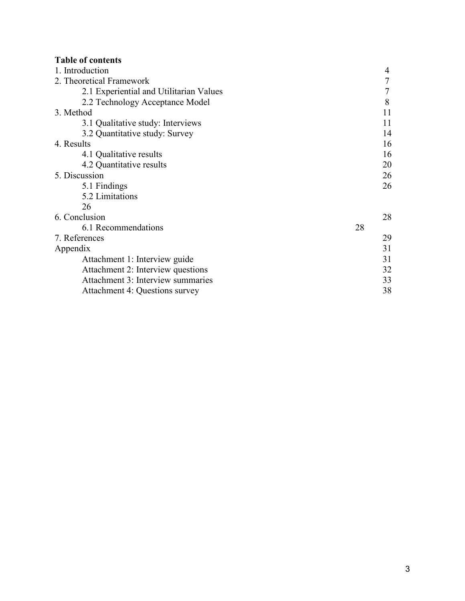# **Table of contents**

| 1. Introduction                         | 4  |
|-----------------------------------------|----|
| 2. Theoretical Framework                | 7  |
| 2.1 Experiential and Utilitarian Values | 7  |
| 2.2 Technology Acceptance Model         | 8  |
| 3. Method                               | 11 |
| 3.1 Qualitative study: Interviews       | 11 |
| 3.2 Quantitative study: Survey          | 14 |
| 4. Results                              | 16 |
| 4.1 Qualitative results                 | 16 |
| 4.2 Quantitative results                | 20 |
| 5. Discussion                           | 26 |
| 5.1 Findings                            | 26 |
| 5.2 Limitations                         |    |
| 26                                      |    |
| 6. Conclusion                           | 28 |
| 6.1 Recommendations                     | 28 |
| 7. References                           | 29 |
| Appendix                                | 31 |
| Attachment 1: Interview guide           | 31 |
| Attachment 2: Interview questions       | 32 |
| Attachment 3: Interview summaries       | 33 |
| Attachment 4: Questions survey          | 38 |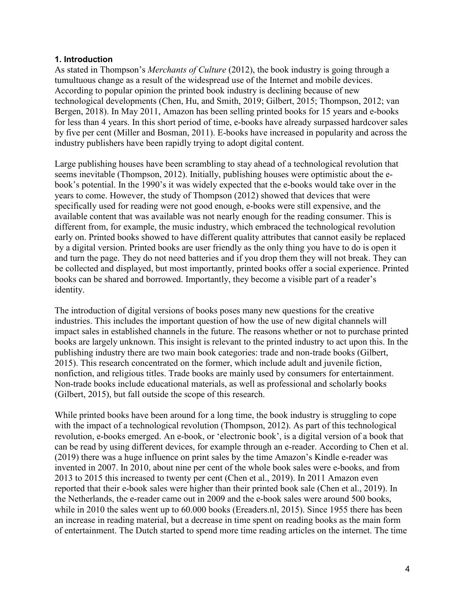## **1. Introduction**

As stated in Thompson's *Merchants of Culture* (2012), the book industry is going through a tumultuous change as a result of the widespread use of the Internet and mobile devices. According to popular opinion the printed book industry is declining because of new technological developments (Chen, Hu, and Smith, 2019; Gilbert, 2015; Thompson, 2012; van Bergen, 2018). In May 2011, Amazon has been selling printed books for 15 years and e-books for less than 4 years. In this short period of time, e-books have already surpassed hardcover sales by five per cent (Miller and Bosman, 2011). E-books have increased in popularity and across the industry publishers have been rapidly trying to adopt digital content.

Large publishing houses have been scrambling to stay ahead of a technological revolution that seems inevitable (Thompson, 2012). Initially, publishing houses were optimistic about the ebook's potential. In the 1990's it was widely expected that the e-books would take over in the years to come. However, the study of Thompson (2012) showed that devices that were specifically used for reading were not good enough, e-books were still expensive, and the available content that was available was not nearly enough for the reading consumer. This is different from, for example, the music industry, which embraced the technological revolution early on. Printed books showed to have different quality attributes that cannot easily be replaced by a digital version. Printed books are user friendly as the only thing you have to do is open it and turn the page. They do not need batteries and if you drop them they will not break. They can be collected and displayed, but most importantly, printed books offer a social experience. Printed books can be shared and borrowed. Importantly, they become a visible part of a reader's identity.

The introduction of digital versions of books poses many new questions for the creative industries. This includes the important question of how the use of new digital channels will impact sales in established channels in the future. The reasons whether or not to purchase printed books are largely unknown. This insight is relevant to the printed industry to act upon this. In the publishing industry there are two main book categories: trade and non-trade books (Gilbert, 2015). This research concentrated on the former, which include adult and juvenile fiction, nonfiction, and religious titles. Trade books are mainly used by consumers for entertainment. Non-trade books include educational materials, as well as professional and scholarly books (Gilbert, 2015), but fall outside the scope of this research.

While printed books have been around for a long time, the book industry is struggling to cope with the impact of a technological revolution (Thompson, 2012). As part of this technological revolution, e-books emerged. An e-book, or 'electronic book', is a digital version of a book that can be read by using different devices, for example through an e-reader. According to Chen et al. (2019) there was a huge influence on print sales by the time Amazon's Kindle e-reader was invented in 2007. In 2010, about nine per cent of the whole book sales were e-books, and from 2013 to 2015 this increased to twenty per cent (Chen et al., 2019). In 2011 Amazon even reported that their e-book sales were higher than their printed book sale (Chen et al., 2019). In the Netherlands, the e-reader came out in 2009 and the e-book sales were around 500 books, while in 2010 the sales went up to 60.000 books (Ereaders.nl, 2015). Since 1955 there has been an increase in reading material, but a decrease in time spent on reading books as the main form of entertainment. The Dutch started to spend more time reading articles on the internet. The time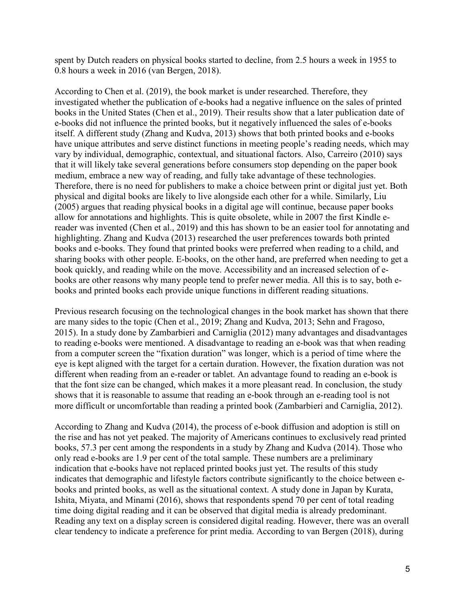spent by Dutch readers on physical books started to decline, from 2.5 hours a week in 1955 to 0.8 hours a week in 2016 (van Bergen, 2018).

According to Chen et al. (2019), the book market is under researched. Therefore, they investigated whether the publication of e-books had a negative influence on the sales of printed books in the United States (Chen et al., 2019). Their results show that a later publication date of e-books did not influence the printed books, but it negatively influenced the sales of e-books itself. A different study (Zhang and Kudva, 2013) shows that both printed books and e-books have unique attributes and serve distinct functions in meeting people's reading needs, which may vary by individual, demographic, contextual, and situational factors. Also, Carreiro (2010) says that it will likely take several generations before consumers stop depending on the paper book medium, embrace a new way of reading, and fully take advantage of these technologies. Therefore, there is no need for publishers to make a choice between print or digital just yet. Both physical and digital books are likely to live alongside each other for a while. Similarly, Liu (2005) argues that reading physical books in a digital age will continue, because paper books allow for annotations and highlights. This is quite obsolete, while in 2007 the first Kindle ereader was invented (Chen et al., 2019) and this has shown to be an easier tool for annotating and highlighting. Zhang and Kudva (2013) researched the user preferences towards both printed books and e-books. They found that printed books were preferred when reading to a child, and sharing books with other people. E-books, on the other hand, are preferred when needing to get a book quickly, and reading while on the move. Accessibility and an increased selection of ebooks are other reasons why many people tend to prefer newer media. All this is to say, both ebooks and printed books each provide unique functions in different reading situations.

Previous research focusing on the technological changes in the book market has shown that there are many sides to the topic (Chen et al., 2019; Zhang and Kudva, 2013; Sehn and Fragoso, 2015). In a study done by Zambarbieri and Carniglia (2012) many advantages and disadvantages to reading e-books were mentioned. A disadvantage to reading an e-book was that when reading from a computer screen the "fixation duration" was longer, which is a period of time where the eye is kept aligned with the target for a certain duration. However, the fixation duration was not different when reading from an e-reader or tablet. An advantage found to reading an e-book is that the font size can be changed, which makes it a more pleasant read. In conclusion, the study shows that it is reasonable to assume that reading an e-book through an e-reading tool is not more difficult or uncomfortable than reading a printed book (Zambarbieri and Carniglia, 2012).

According to Zhang and Kudva (2014), the process of e-book diffusion and adoption is still on the rise and has not yet peaked. The majority of Americans continues to exclusively read printed books, 57.3 per cent among the respondents in a study by Zhang and Kudva (2014). Those who only read e-books are 1.9 per cent of the total sample. These numbers are a preliminary indication that e-books have not replaced printed books just yet. The results of this study indicates that demographic and lifestyle factors contribute significantly to the choice between ebooks and printed books, as well as the situational context. A study done in Japan by Kurata, Ishita, Miyata, and Minami (2016), shows that respondents spend 70 per cent of total reading time doing digital reading and it can be observed that digital media is already predominant. Reading any text on a display screen is considered digital reading. However, there was an overall clear tendency to indicate a preference for print media. According to van Bergen (2018), during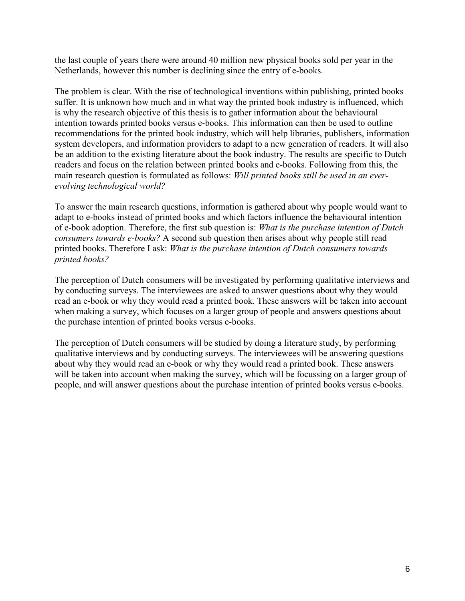the last couple of years there were around 40 million new physical books sold per year in the Netherlands, however this number is declining since the entry of e-books.

The problem is clear. With the rise of technological inventions within publishing, printed books suffer. It is unknown how much and in what way the printed book industry is influenced, which is why the research objective of this thesis is to gather information about the behavioural intention towards printed books versus e-books. This information can then be used to outline recommendations for the printed book industry, which will help libraries, publishers, information system developers, and information providers to adapt to a new generation of readers. It will also be an addition to the existing literature about the book industry. The results are specific to Dutch readers and focus on the relation between printed books and e-books. Following from this, the main research question is formulated as follows: *Will printed books still be used in an everevolving technological world?*

To answer the main research questions, information is gathered about why people would want to adapt to e-books instead of printed books and which factors influence the behavioural intention of e-book adoption. Therefore, the first sub question is: *What is the purchase intention of Dutch consumers towards e-books?* A second sub question then arises about why people still read printed books. Therefore I ask: *What is the purchase intention of Dutch consumers towards printed books?*

The perception of Dutch consumers will be investigated by performing qualitative interviews and by conducting surveys. The interviewees are asked to answer questions about why they would read an e-book or why they would read a printed book. These answers will be taken into account when making a survey, which focuses on a larger group of people and answers questions about the purchase intention of printed books versus e-books.

The perception of Dutch consumers will be studied by doing a literature study, by performing qualitative interviews and by conducting surveys. The interviewees will be answering questions about why they would read an e-book or why they would read a printed book. These answers will be taken into account when making the survey, which will be focussing on a larger group of people, and will answer questions about the purchase intention of printed books versus e-books.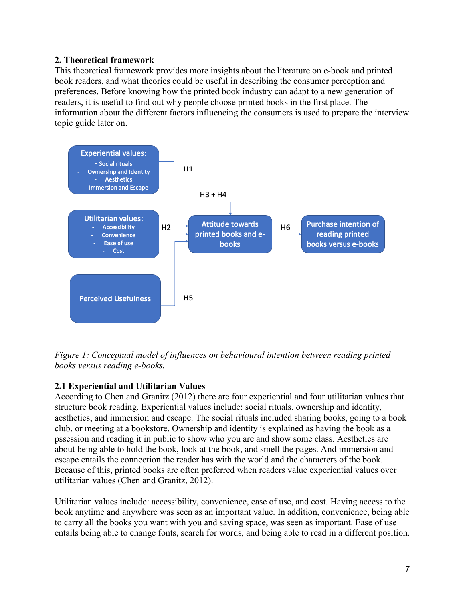# **2. Theoretical framework**

This theoretical framework provides more insights about the literature on e-book and printed book readers, and what theories could be useful in describing the consumer perception and preferences. Before knowing how the printed book industry can adapt to a new generation of readers, it is useful to find out why people choose printed books in the first place. The information about the different factors influencing the consumers is used to prepare the interview topic guide later on.



*Figure 1: Conceptual model of influences on behavioural intention between reading printed books versus reading e-books.*

# **2.1 Experiential and Utilitarian Values**

According to Chen and Granitz (2012) there are four experiential and four utilitarian values that structure book reading. Experiential values include: social rituals, ownership and identity, aesthetics, and immersion and escape. The social rituals included sharing books, going to a book club, or meeting at a bookstore. Ownership and identity is explained as having the book as a pssession and reading it in public to show who you are and show some class. Aesthetics are about being able to hold the book, look at the book, and smell the pages. And immersion and escape entails the connection the reader has with the world and the characters of the book. Because of this, printed books are often preferred when readers value experiential values over utilitarian values (Chen and Granitz, 2012).

Utilitarian values include: accessibility, convenience, ease of use, and cost. Having access to the book anytime and anywhere was seen as an important value. In addition, convenience, being able to carry all the books you want with you and saving space, was seen as important. Ease of use entails being able to change fonts, search for words, and being able to read in a different position.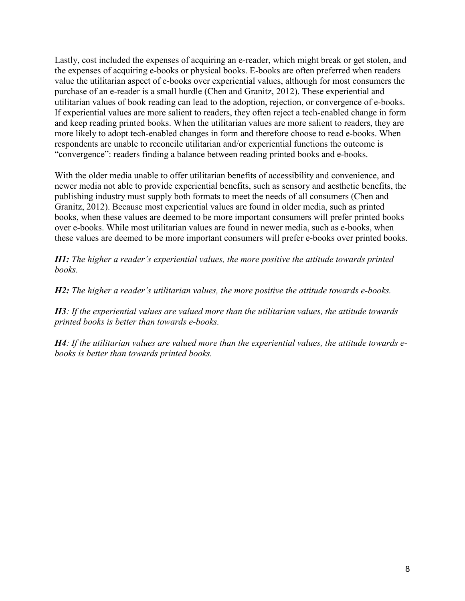Lastly, cost included the expenses of acquiring an e-reader, which might break or get stolen, and the expenses of acquiring e-books or physical books. E-books are often preferred when readers value the utilitarian aspect of e-books over experiential values, although for most consumers the purchase of an e-reader is a small hurdle (Chen and Granitz, 2012). These experiential and utilitarian values of book reading can lead to the adoption, rejection, or convergence of e-books. If experiential values are more salient to readers, they often reject a tech-enabled change in form and keep reading printed books. When the utilitarian values are more salient to readers, they are more likely to adopt tech-enabled changes in form and therefore choose to read e-books. When respondents are unable to reconcile utilitarian and/or experiential functions the outcome is "convergence": readers finding a balance between reading printed books and e-books.

With the older media unable to offer utilitarian benefits of accessibility and convenience, and newer media not able to provide experiential benefits, such as sensory and aesthetic benefits, the publishing industry must supply both formats to meet the needs of all consumers (Chen and Granitz, 2012). Because most experiential values are found in older media, such as printed books, when these values are deemed to be more important consumers will prefer printed books over e-books. While most utilitarian values are found in newer media, such as e-books, when these values are deemed to be more important consumers will prefer e-books over printed books.

*H1: The higher a reader's experiential values, the more positive the attitude towards printed books.*

*H2: The higher a reader's utilitarian values, the more positive the attitude towards e-books.*

*H3: If the experiential values are valued more than the utilitarian values, the attitude towards printed books is better than towards e-books.*

*H4: If the utilitarian values are valued more than the experiential values, the attitude towards ebooks is better than towards printed books.*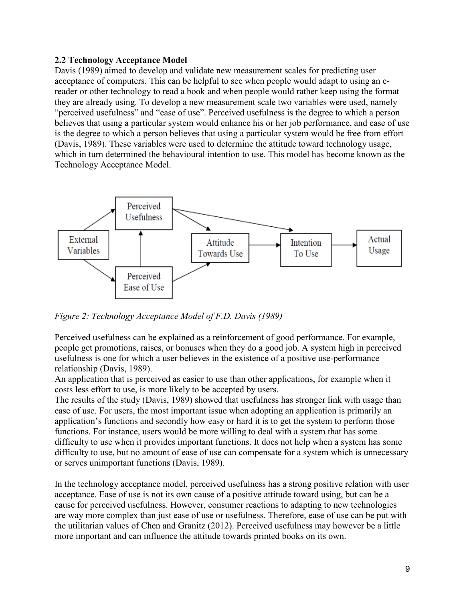# **2.2 Technology Acceptance Model**

Davis (1989) aimed to develop and validate new measurement scales for predicting user acceptance of computers. This can be helpful to see when people would adapt to using an ereader or other technology to read a book and when people would rather keep using the format they are already using. To develop a new measurement scale two variables were used, namely "perceived usefulness" and "ease of use". Perceived usefulness is the degree to which a person believes that using a particular system would enhance his or her job performance, and ease of use is the degree to which a person believes that using a particular system would be free from effort (Davis, 1989). These variables were used to determine the attitude toward technology usage, which in turn determined the behavioural intention to use. This model has become known as the Technology Acceptance Model.



*Figure 2: Technology Acceptance Model of F.D. Davis (1989)*

Perceived usefulness can be explained as a reinforcement of good performance. For example, people get promotions, raises, or bonuses when they do a good job. A system high in perceived usefulness is one for which a user believes in the existence of a positive use-performance relationship (Davis, 1989).

An application that is perceived as easier to use than other applications, for example when it costs less effort to use, is more likely to be accepted by users.

The results of the study (Davis, 1989) showed that usefulness has stronger link with usage than ease of use. For users, the most important issue when adopting an application is primarily an application's functions and secondly how easy or hard it is to get the system to perform those functions. For instance, users would be more willing to deal with a system that has some difficulty to use when it provides important functions. It does not help when a system has some difficulty to use, but no amount of ease of use can compensate for a system which is unnecessary or serves unimportant functions (Davis, 1989).

In the technology acceptance model, perceived usefulness has a strong positive relation with user acceptance. Ease of use is not its own cause of a positive attitude toward using, but can be a cause for perceived usefulness. However, consumer reactions to adapting to new technologies are way more complex than just ease of use or usefulness. Therefore, ease of use can be put with the utilitarian values of Chen and Granitz (2012). Perceived usefulness may however be a little more important and can influence the attitude towards printed books on its own.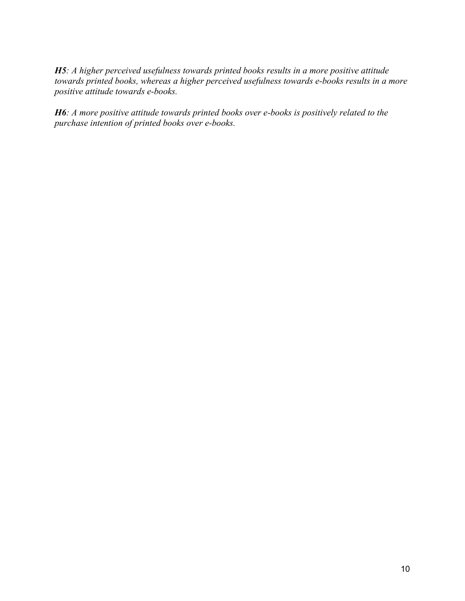*H5: A higher perceived usefulness towards printed books results in a more positive attitude towards printed books, whereas a higher perceived usefulness towards e-books results in a more positive attitude towards e-books.*

*H6: A more positive attitude towards printed books over e-books is positively related to the purchase intention of printed books over e-books.*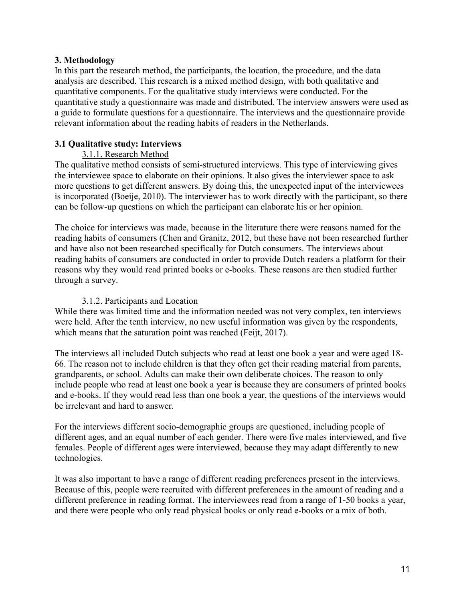# **3. Methodology**

In this part the research method, the participants, the location, the procedure, and the data analysis are described. This research is a mixed method design, with both qualitative and quantitative components. For the qualitative study interviews were conducted. For the quantitative study a questionnaire was made and distributed. The interview answers were used as a guide to formulate questions for a questionnaire. The interviews and the questionnaire provide relevant information about the reading habits of readers in the Netherlands.

# **3.1 Qualitative study: Interviews**

# 3.1.1. Research Method

The qualitative method consists of semi-structured interviews. This type of interviewing gives the interviewee space to elaborate on their opinions. It also gives the interviewer space to ask more questions to get different answers. By doing this, the unexpected input of the interviewees is incorporated (Boeije, 2010). The interviewer has to work directly with the participant, so there can be follow-up questions on which the participant can elaborate his or her opinion.

The choice for interviews was made, because in the literature there were reasons named for the reading habits of consumers (Chen and Granitz, 2012, but these have not been researched further and have also not been researched specifically for Dutch consumers. The interviews about reading habits of consumers are conducted in order to provide Dutch readers a platform for their reasons why they would read printed books or e-books. These reasons are then studied further through a survey.

# 3.1.2. Participants and Location

While there was limited time and the information needed was not very complex, ten interviews were held. After the tenth interview, no new useful information was given by the respondents, which means that the saturation point was reached (Feijt, 2017).

The interviews all included Dutch subjects who read at least one book a year and were aged 18- 66. The reason not to include children is that they often get their reading material from parents, grandparents, or school. Adults can make their own deliberate choices. The reason to only include people who read at least one book a year is because they are consumers of printed books and e-books. If they would read less than one book a year, the questions of the interviews would be irrelevant and hard to answer.

For the interviews different socio-demographic groups are questioned, including people of different ages, and an equal number of each gender. There were five males interviewed, and five females. People of different ages were interviewed, because they may adapt differently to new technologies.

It was also important to have a range of different reading preferences present in the interviews. Because of this, people were recruited with different preferences in the amount of reading and a different preference in reading format. The interviewees read from a range of 1-50 books a year, and there were people who only read physical books or only read e-books or a mix of both.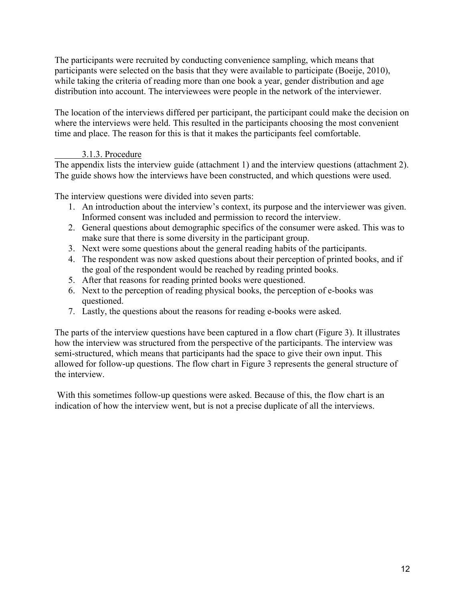The participants were recruited by conducting convenience sampling, which means that participants were selected on the basis that they were available to participate (Boeije, 2010), while taking the criteria of reading more than one book a year, gender distribution and age distribution into account. The interviewees were people in the network of the interviewer.

The location of the interviews differed per participant, the participant could make the decision on where the interviews were held. This resulted in the participants choosing the most convenient time and place. The reason for this is that it makes the participants feel comfortable.

# 3.1.3. Procedure

The appendix lists the interview guide (attachment 1) and the interview questions (attachment 2). The guide shows how the interviews have been constructed, and which questions were used.

The interview questions were divided into seven parts:

- 1. An introduction about the interview's context, its purpose and the interviewer was given. Informed consent was included and permission to record the interview.
- 2. General questions about demographic specifics of the consumer were asked. This was to make sure that there is some diversity in the participant group.
- 3. Next were some questions about the general reading habits of the participants.
- 4. The respondent was now asked questions about their perception of printed books, and if the goal of the respondent would be reached by reading printed books.
- 5. After that reasons for reading printed books were questioned.
- 6. Next to the perception of reading physical books, the perception of e-books was questioned.
- 7. Lastly, the questions about the reasons for reading e-books were asked.

The parts of the interview questions have been captured in a flow chart (Figure 3). It illustrates how the interview was structured from the perspective of the participants. The interview was semi-structured, which means that participants had the space to give their own input. This allowed for follow-up questions. The flow chart in Figure 3 represents the general structure of the interview.

With this sometimes follow-up questions were asked. Because of this, the flow chart is an indication of how the interview went, but is not a precise duplicate of all the interviews.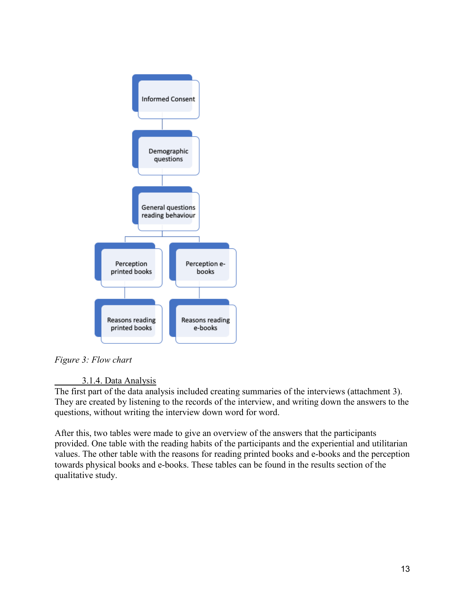

*Figure 3: Flow chart*

# 3.1.4. Data Analysis

The first part of the data analysis included creating summaries of the interviews (attachment 3). They are created by listening to the records of the interview, and writing down the answers to the questions, without writing the interview down word for word.

After this, two tables were made to give an overview of the answers that the participants provided. One table with the reading habits of the participants and the experiential and utilitarian values. The other table with the reasons for reading printed books and e-books and the perception towards physical books and e-books. These tables can be found in the results section of the qualitative study.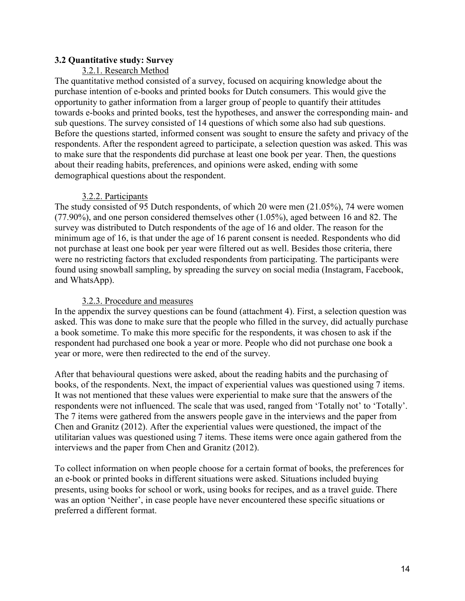# **3.2 Quantitative study: Survey**

## 3.2.1. Research Method

The quantitative method consisted of a survey, focused on acquiring knowledge about the purchase intention of e-books and printed books for Dutch consumers. This would give the opportunity to gather information from a larger group of people to quantify their attitudes towards e-books and printed books, test the hypotheses, and answer the corresponding main- and sub questions. The survey consisted of 14 questions of which some also had sub questions. Before the questions started, informed consent was sought to ensure the safety and privacy of the respondents. After the respondent agreed to participate, a selection question was asked. This was to make sure that the respondents did purchase at least one book per year. Then, the questions about their reading habits, preferences, and opinions were asked, ending with some demographical questions about the respondent.

# 3.2.2. Participants

The study consisted of 95 Dutch respondents, of which 20 were men (21.05%), 74 were women (77.90%), and one person considered themselves other (1.05%), aged between 16 and 82. The survey was distributed to Dutch respondents of the age of 16 and older. The reason for the minimum age of 16, is that under the age of 16 parent consent is needed. Respondents who did not purchase at least one book per year were filtered out as well. Besides those criteria, there were no restricting factors that excluded respondents from participating. The participants were found using snowball sampling, by spreading the survey on social media (Instagram, Facebook, and WhatsApp).

## 3.2.3. Procedure and measures

In the appendix the survey questions can be found (attachment 4). First, a selection question was asked. This was done to make sure that the people who filled in the survey, did actually purchase a book sometime. To make this more specific for the respondents, it was chosen to ask if the respondent had purchased one book a year or more. People who did not purchase one book a year or more, were then redirected to the end of the survey.

After that behavioural questions were asked, about the reading habits and the purchasing of books, of the respondents. Next, the impact of experiential values was questioned using 7 items. It was not mentioned that these values were experiential to make sure that the answers of the respondents were not influenced. The scale that was used, ranged from 'Totally not' to 'Totally'. The 7 items were gathered from the answers people gave in the interviews and the paper from Chen and Granitz (2012). After the experiential values were questioned, the impact of the utilitarian values was questioned using 7 items. These items were once again gathered from the interviews and the paper from Chen and Granitz (2012).

To collect information on when people choose for a certain format of books, the preferences for an e-book or printed books in different situations were asked. Situations included buying presents, using books for school or work, using books for recipes, and as a travel guide. There was an option 'Neither', in case people have never encountered these specific situations or preferred a different format.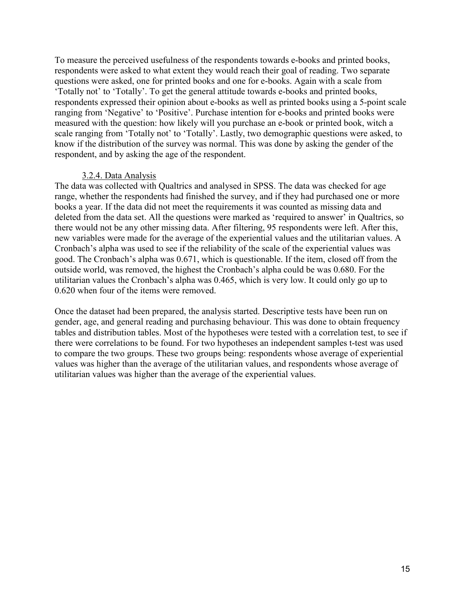To measure the perceived usefulness of the respondents towards e-books and printed books, respondents were asked to what extent they would reach their goal of reading. Two separate questions were asked, one for printed books and one for e-books. Again with a scale from 'Totally not' to 'Totally'. To get the general attitude towards e-books and printed books, respondents expressed their opinion about e-books as well as printed books using a 5-point scale ranging from 'Negative' to 'Positive'. Purchase intention for e-books and printed books were measured with the question: how likely will you purchase an e-book or printed book, witch a scale ranging from 'Totally not' to 'Totally'. Lastly, two demographic questions were asked, to know if the distribution of the survey was normal. This was done by asking the gender of the respondent, and by asking the age of the respondent.

#### 3.2.4. Data Analysis

The data was collected with Qualtrics and analysed in SPSS. The data was checked for age range, whether the respondents had finished the survey, and if they had purchased one or more books a year. If the data did not meet the requirements it was counted as missing data and deleted from the data set. All the questions were marked as 'required to answer' in Qualtrics, so there would not be any other missing data. After filtering, 95 respondents were left. After this, new variables were made for the average of the experiential values and the utilitarian values. A Cronbach's alpha was used to see if the reliability of the scale of the experiential values was good. The Cronbach's alpha was 0.671, which is questionable. If the item, closed off from the outside world, was removed, the highest the Cronbach's alpha could be was 0.680. For the utilitarian values the Cronbach's alpha was 0.465, which is very low. It could only go up to 0.620 when four of the items were removed.

Once the dataset had been prepared, the analysis started. Descriptive tests have been run on gender, age, and general reading and purchasing behaviour. This was done to obtain frequency tables and distribution tables. Most of the hypotheses were tested with a correlation test, to see if there were correlations to be found. For two hypotheses an independent samples t-test was used to compare the two groups. These two groups being: respondents whose average of experiential values was higher than the average of the utilitarian values, and respondents whose average of utilitarian values was higher than the average of the experiential values.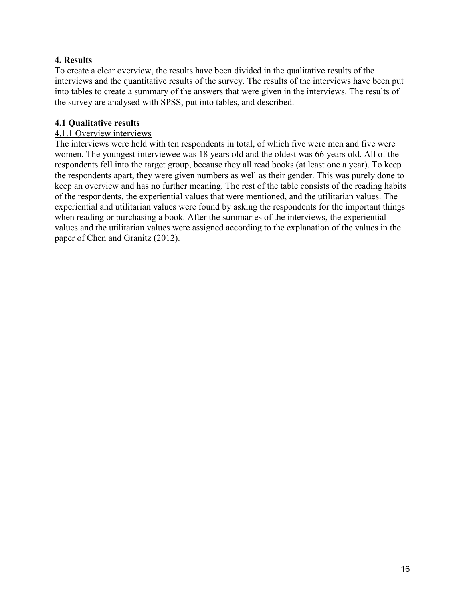# **4. Results**

To create a clear overview, the results have been divided in the qualitative results of the interviews and the quantitative results of the survey. The results of the interviews have been put into tables to create a summary of the answers that were given in the interviews. The results of the survey are analysed with SPSS, put into tables, and described.

# **4.1 Qualitative results**

# 4.1.1 Overview interviews

The interviews were held with ten respondents in total, of which five were men and five were women. The youngest interviewee was 18 years old and the oldest was 66 years old. All of the respondents fell into the target group, because they all read books (at least one a year). To keep the respondents apart, they were given numbers as well as their gender. This was purely done to keep an overview and has no further meaning. The rest of the table consists of the reading habits of the respondents, the experiential values that were mentioned, and the utilitarian values. The experiential and utilitarian values were found by asking the respondents for the important things when reading or purchasing a book. After the summaries of the interviews, the experiential values and the utilitarian values were assigned according to the explanation of the values in the paper of Chen and Granitz (2012).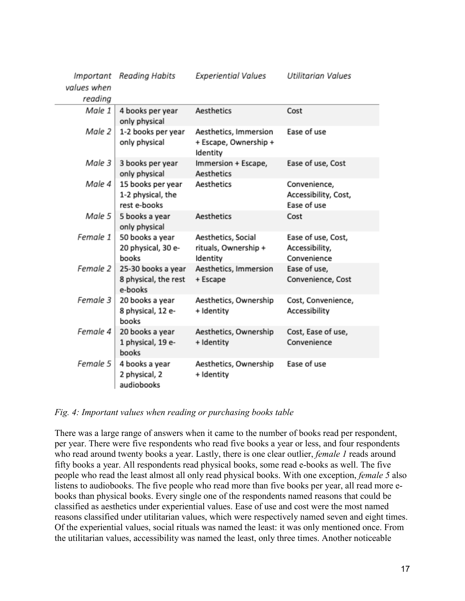| Important   | Reading Habits                                         | <b>Experiential Values</b>                                 | Utilitarian Values                                  |
|-------------|--------------------------------------------------------|------------------------------------------------------------|-----------------------------------------------------|
| values when |                                                        |                                                            |                                                     |
| reading     |                                                        |                                                            |                                                     |
| Male 1      | 4 books per year<br>only physical                      | Aesthetics                                                 | Cost                                                |
| Male 2      | 1-2 books per year<br>only physical                    | Aesthetics, Immersion<br>+ Escape, Ownership +<br>Identity | Ease of use                                         |
| Male 3      | 3 books per year<br>only physical                      | Immersion + Escape,<br>Aesthetics                          | Ease of use, Cost                                   |
| Male 4      | 15 books per year<br>1-2 physical, the<br>rest e-books | Aesthetics                                                 | Convenience,<br>Accessibility, Cost,<br>Ease of use |
| Male 5      | 5 books a year<br>only physical                        | Aesthetics                                                 | Cost                                                |
| Female 1    | 50 books a year<br>20 physical, 30 e-<br>books         | Aesthetics, Social<br>rituals, Ownership +<br>Identity     | Ease of use, Cost,<br>Accessibility,<br>Convenience |
| Female 2    | 25-30 books a year<br>8 physical, the rest<br>e-books  | Aesthetics, Immersion<br>+ Escape                          | Ease of use,<br>Convenience, Cost                   |
| Female 3    | 20 books a year<br>8 physical, 12 e-<br>books          | Aesthetics, Ownership<br>+ Identity                        | Cost, Convenience,<br>Accessibility                 |
| Female 4    | 20 books a year<br>1 physical, 19 e-<br>books          | Aesthetics, Ownership<br>+ Identity                        | Cost, Ease of use,<br>Convenience                   |
| Female 5    | 4 books a year<br>2 physical, 2<br>audiobooks          | Aesthetics, Ownership<br>+ Identity                        | Ease of use                                         |

#### *Fig. 4: Important values when reading or purchasing books table*

There was a large range of answers when it came to the number of books read per respondent, per year. There were five respondents who read five books a year or less, and four respondents who read around twenty books a year. Lastly, there is one clear outlier, *female 1* reads around fifty books a year. All respondents read physical books, some read e-books as well. The five people who read the least almost all only read physical books. With one exception, *female 5* also listens to audiobooks. The five people who read more than five books per year, all read more ebooks than physical books. Every single one of the respondents named reasons that could be classified as aesthetics under experiential values. Ease of use and cost were the most named reasons classified under utilitarian values, which were respectively named seven and eight times. Of the experiential values, social rituals was named the least: it was only mentioned once. From the utilitarian values, accessibility was named the least, only three times. Another noticeable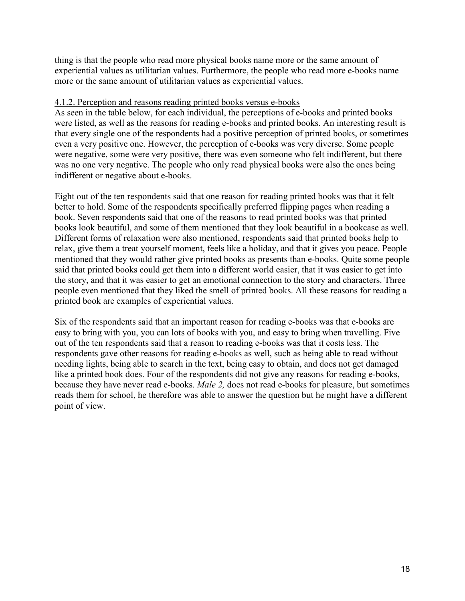thing is that the people who read more physical books name more or the same amount of experiential values as utilitarian values. Furthermore, the people who read more e-books name more or the same amount of utilitarian values as experiential values.

# 4.1.2. Perception and reasons reading printed books versus e-books

As seen in the table below, for each individual, the perceptions of e-books and printed books were listed, as well as the reasons for reading e-books and printed books. An interesting result is that every single one of the respondents had a positive perception of printed books, or sometimes even a very positive one. However, the perception of e-books was very diverse. Some people were negative, some were very positive, there was even someone who felt indifferent, but there was no one very negative. The people who only read physical books were also the ones being indifferent or negative about e-books.

Eight out of the ten respondents said that one reason for reading printed books was that it felt better to hold. Some of the respondents specifically preferred flipping pages when reading a book. Seven respondents said that one of the reasons to read printed books was that printed books look beautiful, and some of them mentioned that they look beautiful in a bookcase as well. Different forms of relaxation were also mentioned, respondents said that printed books help to relax, give them a treat yourself moment, feels like a holiday, and that it gives you peace. People mentioned that they would rather give printed books as presents than e-books. Quite some people said that printed books could get them into a different world easier, that it was easier to get into the story, and that it was easier to get an emotional connection to the story and characters. Three people even mentioned that they liked the smell of printed books. All these reasons for reading a printed book are examples of experiential values.

Six of the respondents said that an important reason for reading e-books was that e-books are easy to bring with you, you can lots of books with you, and easy to bring when travelling. Five out of the ten respondents said that a reason to reading e-books was that it costs less. The respondents gave other reasons for reading e-books as well, such as being able to read without needing lights, being able to search in the text, being easy to obtain, and does not get damaged like a printed book does. Four of the respondents did not give any reasons for reading e-books, because they have never read e-books. *Male 2,* does not read e-books for pleasure, but sometimes reads them for school, he therefore was able to answer the question but he might have a different point of view.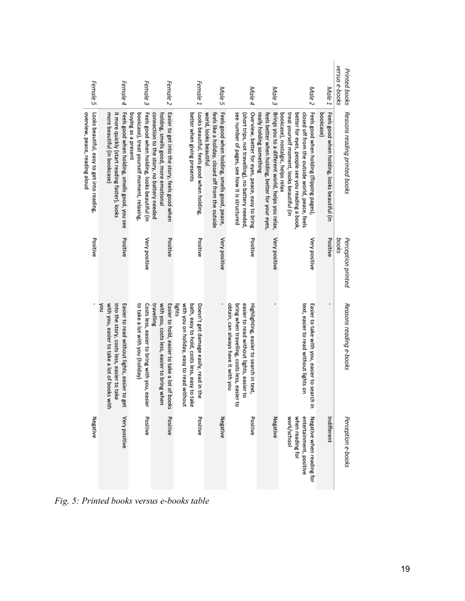| Female 5                                                                     | Female 4                                                                                                                                          | Female 3                                                                                                          | Female 2                                                                                                                            | Female 1                                                                                                                                      | Male 5                                                                                                                      | Male 4                                                                                                                                                                      | Male <sub>3</sub>                                                                                                                | Male <sub>2</sub>                                                                                                                                                                                                                 | Male 1                                                    | versus e-books<br>Printed books |
|------------------------------------------------------------------------------|---------------------------------------------------------------------------------------------------------------------------------------------------|-------------------------------------------------------------------------------------------------------------------|-------------------------------------------------------------------------------------------------------------------------------------|-----------------------------------------------------------------------------------------------------------------------------------------------|-----------------------------------------------------------------------------------------------------------------------------|-----------------------------------------------------------------------------------------------------------------------------------------------------------------------------|----------------------------------------------------------------------------------------------------------------------------------|-----------------------------------------------------------------------------------------------------------------------------------------------------------------------------------------------------------------------------------|-----------------------------------------------------------|---------------------------------|
| Looks beautiful, easy to get into reading,<br>overview, peace, reading aloud | it more quickly (start reading faster), looks<br>Feels good when holding, smells good, you see<br>more beautiful (in bookcase)                    | Feels good when holding, looks beautiful (in<br>buying as a present<br>bookcase), treat yourself moment, relaxing | Easier to get into the story, feels good when<br>connection to the story, no battery needed<br>holding, smells good, more emotional | better when giving presents<br>Looks beautiful, feels good when holding,                                                                      | Feels good when holding, smells good, peace,<br>world, looks beautiful<br>feels like a holiday, closed off from the outside | see number of pages, see how it is structured<br>Overview, better for eyes, peace, easy to bring<br>(short trips, not travelling), no battery needed                        | feels better when holding, better for your eyes<br>Brings you to a different world, helps you relax,<br>really holding something | Feels good when holding (flipping pages)<br>treat yourself moment, looks beautiful (in<br>better for eyes, people see you reading a book,<br>closed off from the outside world, peace, feels<br>bookcase), nostalgic, helps relax | Feels good when holding, looks beautiful (in<br>bookcase) | Reasons reading printed books   |
| Positive                                                                     | Positive                                                                                                                                          | Very positive                                                                                                     | Positive                                                                                                                            | Positive                                                                                                                                      | Very positive                                                                                                               | Positive                                                                                                                                                                    | Very positive                                                                                                                    | Very positive                                                                                                                                                                                                                     | Positive                                                  | Perception printed<br>books     |
|                                                                              | noX<br>with you, easier to take a lot of books with<br>into the story, costs less, easier to take<br>Easier to read without lights, easier to get | to take a lot with you (holiday)<br>Costs less, easier to bring with you, ea<br>Sier                              | travelling<br>with you, costs less, easier to bring when<br>Easier to hold, easier to take a lot of books                           | with you on holiday, easy to read without<br>bath, easy to hold, costs less, easy to take<br>Doesn't get damage easily, read in the<br>lights |                                                                                                                             | obtain, can always have it with you<br>bring when travelling, costs less, easie<br>easier to read without lights, easier to<br>Highlighting, easier to search in text,<br>금 |                                                                                                                                  | text, easier to read without lights on<br>Easier to take with you, easier to search in                                                                                                                                            |                                                           | Reasons reading e-books         |
| Negative                                                                     | <b>Very positive</b>                                                                                                                              | Positive                                                                                                          | Positive                                                                                                                            | Positive                                                                                                                                      | Negative                                                                                                                    | Positive                                                                                                                                                                    | Negative                                                                                                                         | work/school<br>when reading for<br>entertainment, positive<br>Negative when reading for                                                                                                                                           | Indifferent                                               | Perception e-books              |

*Fig. 5: Printed books versus e-books table*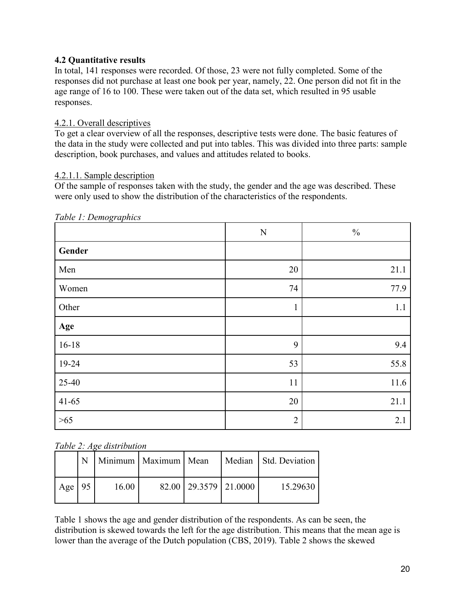# **4.2 Quantitative results**

In total, 141 responses were recorded. Of those, 23 were not fully completed. Some of the responses did not purchase at least one book per year, namely, 22. One person did not fit in the age range of 16 to 100. These were taken out of the data set, which resulted in 95 usable responses.

# 4.2.1. Overall descriptives

To get a clear overview of all the responses, descriptive tests were done. The basic features of the data in the study were collected and put into tables. This was divided into three parts: sample description, book purchases, and values and attitudes related to books.

# 4.2.1.1. Sample description

Of the sample of responses taken with the study, the gender and the age was described. These were only used to show the distribution of the characteristics of the respondents.

|         | ${\bf N}$      | $\frac{0}{0}$ |
|---------|----------------|---------------|
| Gender  |                |               |
| Men     | 20             | 21.1          |
| Women   | 74             | 77.9          |
| Other   | $\,1\,$        | 1.1           |
| Age     |                |               |
| $16-18$ | 9              | 9.4           |
| 19-24   | 53             | 55.8          |
| 25-40   | 11             | 11.6          |
| $41-65$ | 20             | 21.1          |
| $>65$   | $\overline{2}$ | 2.1           |

*Table 1: Demographics*

# *Table 2: Age distribution*

|     |      |       | Minimum   Maximum   Mean |                           | Median   Std. Deviation |
|-----|------|-------|--------------------------|---------------------------|-------------------------|
| Age | - 95 | 16.00 |                          | 82.00   29.3579   21.0000 | 15.29630                |

Table 1 shows the age and gender distribution of the respondents. As can be seen, the distribution is skewed towards the left for the age distribution. This means that the mean age is lower than the average of the Dutch population (CBS, 2019). Table 2 shows the skewed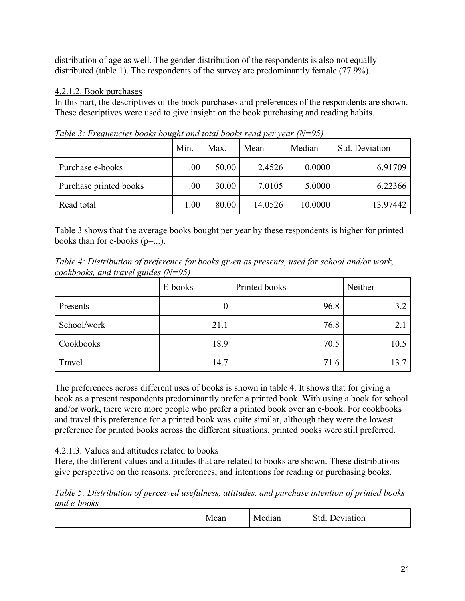distribution of age as well. The gender distribution of the respondents is also not equally distributed (table 1). The respondents of the survey are predominantly female (77.9%).

# 4.2.1.2. Book purchases

In this part, the descriptives of the book purchases and preferences of the respondents are shown. These descriptives were used to give insight on the book purchasing and reading habits.

|                        | Min. | Max.  | Mean    | Median  | Std. Deviation |
|------------------------|------|-------|---------|---------|----------------|
| Purchase e-books       | .00. | 50.00 | 2.4526  | 0.0000  | 6.91709        |
| Purchase printed books | .00. | 30.00 | 7.0105  | 5.0000  | 6.22366        |
| Read total             | 1.00 | 80.00 | 14.0526 | 10.0000 | 13.97442       |

*Table 3: Frequencies books bought and total books read per year (N=95)*

Table 3 shows that the average books bought per year by these respondents is higher for printed books than for e-books  $(p=...)$ .

*Table 4: Distribution of preference for books given as presents, used for school and/or work, cookbooks, and travel guides (N=95)*

|             | E-books | Printed books | Neither |
|-------------|---------|---------------|---------|
| Presents    |         | 96.8          | 3.2     |
| School/work | 21.1    | 76.8          | 2.1     |
| Cookbooks   | 18.9    | 70.5          | 10.5    |
| Travel      | 14.7    | 71.6          | 13.7    |

The preferences across different uses of books is shown in table 4. It shows that for giving a book as a present respondents predominantly prefer a printed book. With using a book for school and/or work, there were more people who prefer a printed book over an e-book. For cookbooks and travel this preference for a printed book was quite similar, although they were the lowest preference for printed books across the different situations, printed books were still preferred.

# 4.2.1.3. Values and attitudes related to books

Here, the different values and attitudes that are related to books are shown. These distributions give perspective on the reasons, preferences, and intentions for reading or purchasing books.

*Table 5: Distribution of perceived usefulness, attitudes, and purchase intention of printed books and e-books*

| . .<br>$\sim$<br>- -<br>- 71<br>1at1on<br>N/r<br>Median<br>ור<br>дсан<br>- |
|----------------------------------------------------------------------------|
|----------------------------------------------------------------------------|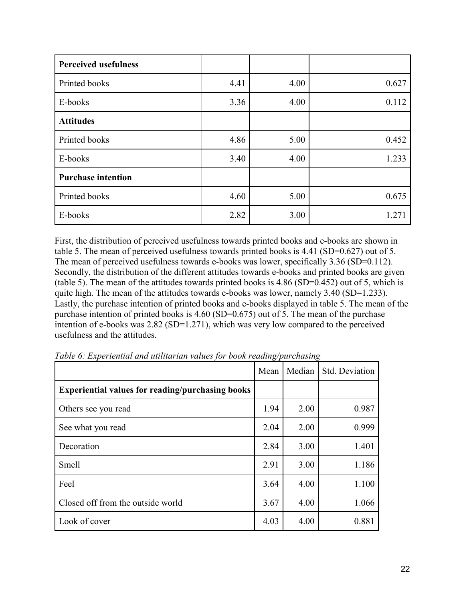| <b>Perceived usefulness</b> |      |      |       |
|-----------------------------|------|------|-------|
| Printed books               | 4.41 | 4.00 | 0.627 |
| E-books                     | 3.36 | 4.00 | 0.112 |
| <b>Attitudes</b>            |      |      |       |
| Printed books               | 4.86 | 5.00 | 0.452 |
| E-books                     | 3.40 | 4.00 | 1.233 |
| <b>Purchase intention</b>   |      |      |       |
| Printed books               | 4.60 | 5.00 | 0.675 |
| E-books                     | 2.82 | 3.00 | 1.271 |

First, the distribution of perceived usefulness towards printed books and e-books are shown in table 5. The mean of perceived usefulness towards printed books is 4.41 (SD=0.627) out of 5. The mean of perceived usefulness towards e-books was lower, specifically 3.36 (SD=0.112). Secondly, the distribution of the different attitudes towards e-books and printed books are given (table 5). The mean of the attitudes towards printed books is 4.86 (SD=0.452) out of 5, which is quite high. The mean of the attitudes towards e-books was lower, namely 3.40 (SD=1.233). Lastly, the purchase intention of printed books and e-books displayed in table 5. The mean of the purchase intention of printed books is 4.60 (SD=0.675) out of 5. The mean of the purchase intention of e-books was 2.82 (SD=1.271), which was very low compared to the perceived usefulness and the attitudes.

|                                                         | Mean | Median | Std. Deviation |
|---------------------------------------------------------|------|--------|----------------|
| <b>Experiential values for reading/purchasing books</b> |      |        |                |
| Others see you read                                     | 1.94 | 2.00   | 0.987          |
| See what you read                                       | 2.04 | 2.00   | 0.999          |
| Decoration                                              | 2.84 | 3.00   | 1.401          |
| Smell                                                   | 2.91 | 3.00   | 1.186          |
| Feel                                                    | 3.64 | 4.00   | 1.100          |
| Closed off from the outside world                       | 3.67 | 4.00   | 1.066          |
| Look of cover                                           | 4.03 | 4.00   | 0.881          |

*Table 6: Experiential and utilitarian values for book reading/purchasing*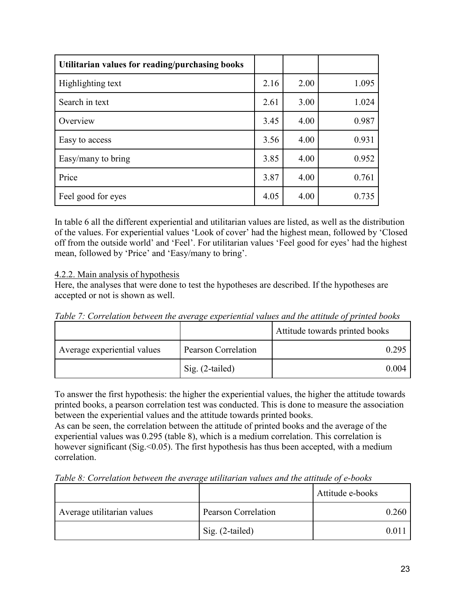| Utilitarian values for reading/purchasing books |      |      |       |
|-------------------------------------------------|------|------|-------|
| Highlighting text                               | 2.16 | 2.00 | 1.095 |
| Search in text                                  | 2.61 | 3.00 | 1.024 |
| Overview                                        | 3.45 | 4.00 | 0.987 |
| Easy to access                                  | 3.56 | 4.00 | 0.931 |
| Easy/many to bring                              | 3.85 | 4.00 | 0.952 |
| Price                                           | 3.87 | 4.00 | 0.761 |
| Feel good for eyes                              | 4.05 | 4.00 | 0.735 |

In table 6 all the different experiential and utilitarian values are listed, as well as the distribution of the values. For experiential values 'Look of cover' had the highest mean, followed by 'Closed off from the outside world' and 'Feel'. For utilitarian values 'Feel good for eyes' had the highest mean, followed by 'Price' and 'Easy/many to bring'.

# 4.2.2. Main analysis of hypothesis

Here, the analyses that were done to test the hypotheses are described. If the hypotheses are accepted or not is shown as well.

*Table 7: Correlation between the average experiential values and the attitude of printed books*

|                             |                     | Attitude towards printed books |
|-----------------------------|---------------------|--------------------------------|
| Average experiential values | Pearson Correlation | 0.295                          |
|                             | Sig. (2-tailed)     | 0.004                          |

To answer the first hypothesis: the higher the experiential values, the higher the attitude towards printed books, a pearson correlation test was conducted. This is done to measure the association between the experiential values and the attitude towards printed books.

As can be seen, the correlation between the attitude of printed books and the average of the experiential values was 0.295 (table 8), which is a medium correlation. This correlation is however significant (Sig. < 0.05). The first hypothesis has thus been accepted, with a medium correlation.

*Table 8: Correlation between the average utilitarian values and the attitude of e-books*

|                            |                            | Attitude e-books |
|----------------------------|----------------------------|------------------|
| Average utilitarian values | <b>Pearson Correlation</b> | 0.260            |
|                            | Sig. (2-tailed)            |                  |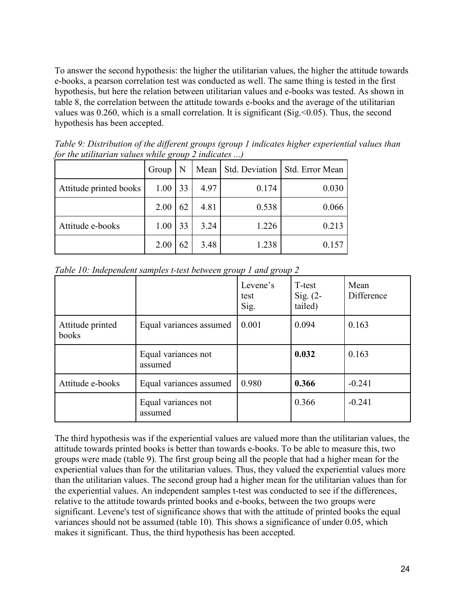To answer the second hypothesis: the higher the utilitarian values, the higher the attitude towards e-books, a pearson correlation test was conducted as well. The same thing is tested in the first hypothesis, but here the relation between utilitarian values and e-books was tested. As shown in table 8, the correlation between the attitude towards e-books and the average of the utilitarian values was 0.260, which is a small correlation. It is significant (Sig.<0.05). Thus, the second hypothesis has been accepted.

| for the all that the values while $\zeta$ oup 2 mateutes ) |       |    |      |       |                                  |
|------------------------------------------------------------|-------|----|------|-------|----------------------------------|
|                                                            | Group |    | Mean |       | Std. Deviation   Std. Error Mean |
| Attitude printed books                                     | 1.00  | 33 | 4.97 | 0.174 | 0.030                            |
|                                                            | 2.00  | 62 | 4.81 | 0.538 | 0.066                            |
| Attitude e-books                                           | 1.00  | 33 | 3.24 | 1.226 | 0.213                            |
|                                                            | 2.00  | 62 | 3.48 | 1.238 | 0.157                            |

*Table 9: Distribution of the different groups (group 1 indicates higher experiential values than for the utilitarian values while group 2 indicates ...)*

|                           |                                | Levene's<br>test<br>Sig. | T-test<br>Sig. $(2-$<br>tailed) | Mean<br>Difference |
|---------------------------|--------------------------------|--------------------------|---------------------------------|--------------------|
| Attitude printed<br>books | Equal variances assumed        | 0.001                    | 0.094                           | 0.163              |
|                           | Equal variances not<br>assumed |                          | 0.032                           | 0.163              |
| Attitude e-books          | Equal variances assumed        | 0.980                    | 0.366                           | $-0.241$           |
|                           | Equal variances not<br>assumed |                          | 0.366                           | $-0.241$           |

*Table 10: Independent samples t-test between group 1 and group 2*

The third hypothesis was if the experiential values are valued more than the utilitarian values, the attitude towards printed books is better than towards e-books. To be able to measure this, two groups were made (table 9). The first group being all the people that had a higher mean for the experiential values than for the utilitarian values. Thus, they valued the experiential values more than the utilitarian values. The second group had a higher mean for the utilitarian values than for the experiential values. An independent samples t-test was conducted to see if the differences, relative to the attitude towards printed books and e-books, between the two groups were significant. Levene's test of significance shows that with the attitude of printed books the equal variances should not be assumed (table 10). This shows a significance of under 0.05, which makes it significant. Thus, the third hypothesis has been accepted.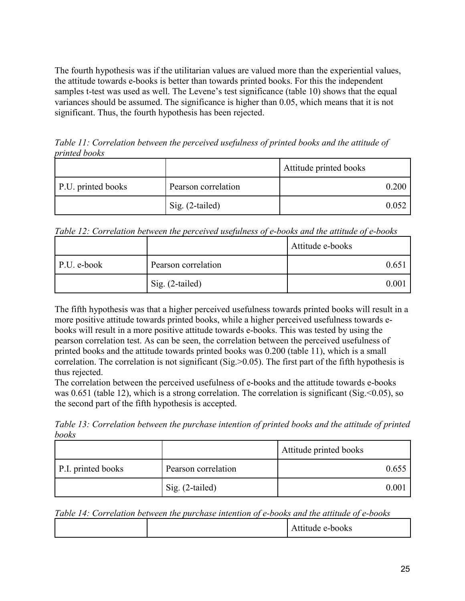The fourth hypothesis was if the utilitarian values are valued more than the experiential values, the attitude towards e-books is better than towards printed books. For this the independent samples t-test was used as well. The Levene's test significance (table 10) shows that the equal variances should be assumed. The significance is higher than 0.05, which means that it is not significant. Thus, the fourth hypothesis has been rejected.

*Table 11: Correlation between the perceived usefulness of printed books and the attitude of printed books*

|                    |                     | Attitude printed books |
|--------------------|---------------------|------------------------|
| P.U. printed books | Pearson correlation |                        |
|                    | Sig. (2-tailed)     | 0.052                  |

*Table 12: Correlation between the perceived usefulness of e-books and the attitude of e-books*

|             |                     | Attitude e-books |
|-------------|---------------------|------------------|
| P.U. e-book | Pearson correlation |                  |
|             | Sig. (2-tailed)     | 0 OO             |

The fifth hypothesis was that a higher perceived usefulness towards printed books will result in a more positive attitude towards printed books, while a higher perceived usefulness towards ebooks will result in a more positive attitude towards e-books. This was tested by using the pearson correlation test. As can be seen, the correlation between the perceived usefulness of printed books and the attitude towards printed books was 0.200 (table 11), which is a small correlation. The correlation is not significant (Sig.>0.05). The first part of the fifth hypothesis is thus rejected.

The correlation between the perceived usefulness of e-books and the attitude towards e-books was 0.651 (table 12), which is a strong correlation. The correlation is significant (Sig. < 0.05), so the second part of the fifth hypothesis is accepted.

*Table 13: Correlation between the purchase intention of printed books and the attitude of printed books*

|                    |                     | Attitude printed books |
|--------------------|---------------------|------------------------|
| P.I. printed books | Pearson correlation | 0.655                  |
|                    | Sig. (2-tailed)     |                        |

| Table 14: Correlation between the purchase intention of e-books and the attitude of e-books |  |  |  |
|---------------------------------------------------------------------------------------------|--|--|--|
|---------------------------------------------------------------------------------------------|--|--|--|

|--|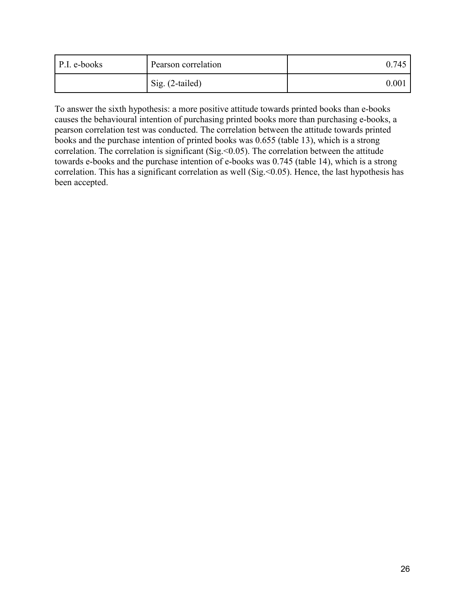| P.I. e-books | Pearson correlation | 0.745 |
|--------------|---------------------|-------|
|              | Sig. (2-tailed)     | 0.001 |

To answer the sixth hypothesis: a more positive attitude towards printed books than e-books causes the behavioural intention of purchasing printed books more than purchasing e-books, a pearson correlation test was conducted. The correlation between the attitude towards printed books and the purchase intention of printed books was 0.655 (table 13), which is a strong correlation. The correlation is significant (Sig.  $< 0.05$ ). The correlation between the attitude towards e-books and the purchase intention of e-books was 0.745 (table 14), which is a strong correlation. This has a significant correlation as well (Sig. < 0.05). Hence, the last hypothesis has been accepted.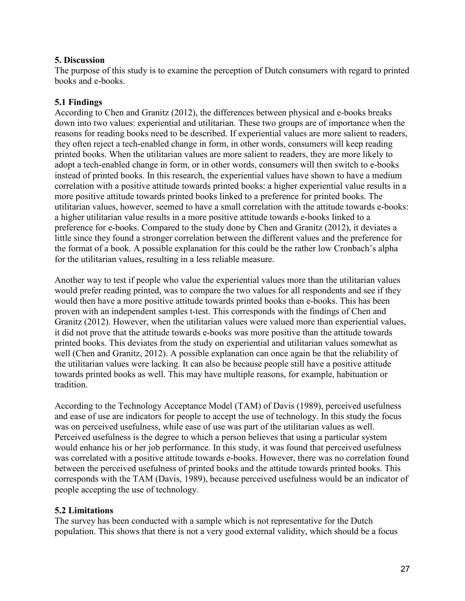# **5. Discussion**

The purpose of this study is to examine the perception of Dutch consumers with regard to printed books and e-books.

# **5.1 Findings**

According to Chen and Granitz (2012), the differences between physical and e-books breaks down into two values: experiential and utilitarian. These two groups are of importance when the reasons for reading books need to be described. If experiential values are more salient to readers, they often reject a tech-enabled change in form, in other words, consumers will keep reading printed books. When the utilitarian values are more salient to readers, they are more likely to adopt a tech-enabled change in form, or in other words, consumers will then switch to e-books instead of printed books. In this research, the experiential values have shown to have a medium correlation with a positive attitude towards printed books: a higher experiential value results in a more positive attitude towards printed books linked to a preference for printed books. The utilitarian values, however, seemed to have a small correlation with the attitude towards e-books: a higher utilitarian value results in a more positive attitude towards e-books linked to a preference for e-books. Compared to the study done by Chen and Granitz (2012), it deviates a little since they found a stronger correlation between the different values and the preference for the format of a book. A possible explanation for this could be the rather low Cronbach's alpha for the utilitarian values, resulting in a less reliable measure.

Another way to test if people who value the experiential values more than the utilitarian values would prefer reading printed, was to compare the two values for all respondents and see if they would then have a more positive attitude towards printed books than e-books. This has been proven with an independent samples t-test. This corresponds with the findings of Chen and Granitz (2012). However, when the utilitarian values were valued more than experiential values, it did not prove that the attitude towards e-books was more positive than the attitude towards printed books. This deviates from the study on experiential and utilitarian values somewhat as well (Chen and Granitz, 2012). A possible explanation can once again be that the reliability of the utilitarian values were lacking. It can also be because people still have a positive attitude towards printed books as well. This may have multiple reasons, for example, habituation or tradition.

According to the Technology Acceptance Model (TAM) of Davis (1989), perceived usefulness and ease of use are indicators for people to accept the use of technology. In this study the focus was on perceived usefulness, while ease of use was part of the utilitarian values as well. Perceived usefulness is the degree to which a person believes that using a particular system would enhance his or her job performance. In this study, it was found that perceived usefulness was correlated with a positive attitude towards e-books. However, there was no correlation found between the perceived usefulness of printed books and the attitude towards printed books. This corresponds with the TAM (Davis, 1989), because perceived usefulness would be an indicator of people accepting the use of technology.

# **5.2 Limitations**

The survey has been conducted with a sample which is not representative for the Dutch population. This shows that there is not a very good external validity, which should be a focus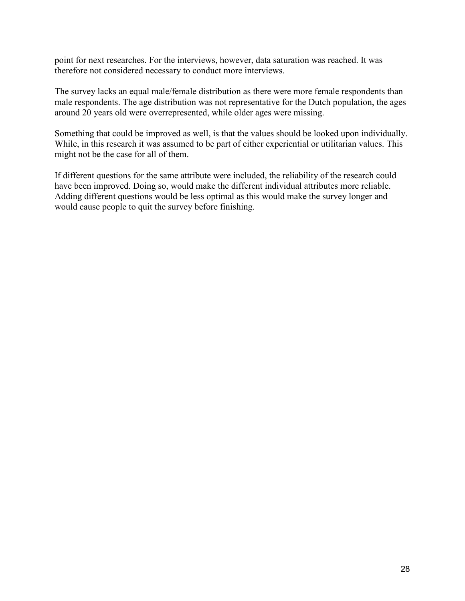point for next researches. For the interviews, however, data saturation was reached. It was therefore not considered necessary to conduct more interviews.

The survey lacks an equal male/female distribution as there were more female respondents than male respondents. The age distribution was not representative for the Dutch population, the ages around 20 years old were overrepresented, while older ages were missing.

Something that could be improved as well, is that the values should be looked upon individually. While, in this research it was assumed to be part of either experiential or utilitarian values. This might not be the case for all of them.

If different questions for the same attribute were included, the reliability of the research could have been improved. Doing so, would make the different individual attributes more reliable. Adding different questions would be less optimal as this would make the survey longer and would cause people to quit the survey before finishing.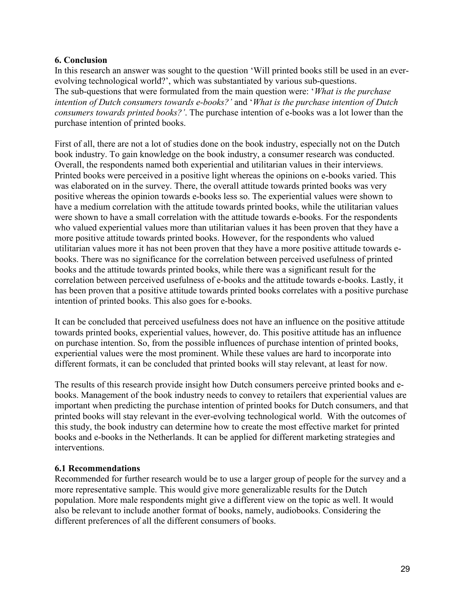# **6. Conclusion**

In this research an answer was sought to the question 'Will printed books still be used in an everevolving technological world?', which was substantiated by various sub-questions. The sub-questions that were formulated from the main question were: '*What is the purchase intention of Dutch consumers towards e-books?'* and '*What is the purchase intention of Dutch consumers towards printed books?'*. The purchase intention of e-books was a lot lower than the purchase intention of printed books.

First of all, there are not a lot of studies done on the book industry, especially not on the Dutch book industry. To gain knowledge on the book industry, a consumer research was conducted. Overall, the respondents named both experiential and utilitarian values in their interviews. Printed books were perceived in a positive light whereas the opinions on e-books varied. This was elaborated on in the survey. There, the overall attitude towards printed books was very positive whereas the opinion towards e-books less so. The experiential values were shown to have a medium correlation with the attitude towards printed books, while the utilitarian values were shown to have a small correlation with the attitude towards e-books. For the respondents who valued experiential values more than utilitarian values it has been proven that they have a more positive attitude towards printed books. However, for the respondents who valued utilitarian values more it has not been proven that they have a more positive attitude towards ebooks. There was no significance for the correlation between perceived usefulness of printed books and the attitude towards printed books, while there was a significant result for the correlation between perceived usefulness of e-books and the attitude towards e-books. Lastly, it has been proven that a positive attitude towards printed books correlates with a positive purchase intention of printed books. This also goes for e-books.

It can be concluded that perceived usefulness does not have an influence on the positive attitude towards printed books, experiential values, however, do. This positive attitude has an influence on purchase intention. So, from the possible influences of purchase intention of printed books, experiential values were the most prominent. While these values are hard to incorporate into different formats, it can be concluded that printed books will stay relevant, at least for now.

The results of this research provide insight how Dutch consumers perceive printed books and ebooks. Management of the book industry needs to convey to retailers that experiential values are important when predicting the purchase intention of printed books for Dutch consumers, and that printed books will stay relevant in the ever-evolving technological world. With the outcomes of this study, the book industry can determine how to create the most effective market for printed books and e-books in the Netherlands. It can be applied for different marketing strategies and interventions.

## **6.1 Recommendations**

Recommended for further research would be to use a larger group of people for the survey and a more representative sample. This would give more generalizable results for the Dutch population. More male respondents might give a different view on the topic as well. It would also be relevant to include another format of books, namely, audiobooks. Considering the different preferences of all the different consumers of books.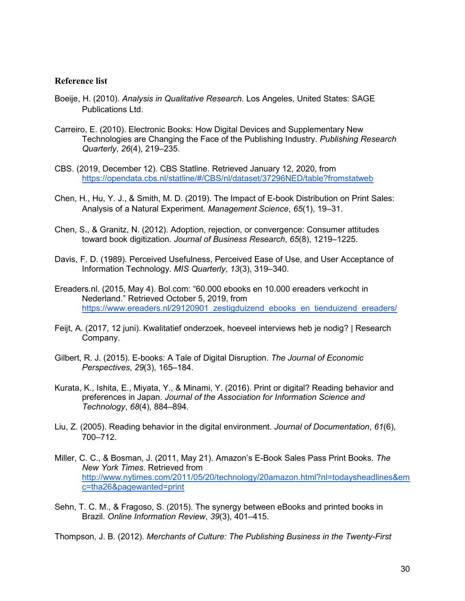#### **Reference list**

- Boeije, H. (2010). *Analysis in Qualitative Research.* Los Angeles, United States: SAGE Publications Ltd.
- Carreiro, E. (2010). Electronic Books: How Digital Devices and Supplementary New Technologies are Changing the Face of the Publishing Industry. *Publishing Research Quarterly*, *26*(4), 219–235.
- CBS. (2019, December 12). CBS Statline. Retrieved January 12, 2020, from <https://opendata.cbs.nl/statline/#/CBS/nl/dataset/37296NED/table?fromstatweb>
- Chen, H., Hu, Y. J., & Smith, M. D. (2019). The Impact of E-book Distribution on Print Sales: Analysis of a Natural Experiment. *Management Science*, *65*(1), 19–31.
- Chen, S., & Granitz, N. (2012). Adoption, rejection, or convergence: Consumer attitudes toward book digitization. *Journal of Business Research*, *65*(8), 1219–1225.
- Davis, F. D. (1989). Perceived Usefulness, Perceived Ease of Use, and User Acceptance of Information Technology. *MIS Quarterly*, *13*(3), 319–340.
- Ereaders.nl. (2015, May 4). Bol.com: "60.000 ebooks en 10.000 ereaders verkocht in Nederland." Retrieved October 5, 2019, from https://www.ereaders.nl/29120901 zestigduizend ebooks en tienduizend ereaders/
- Feijt, A. (2017, 12 juni). Kwalitatief onderzoek, hoeveel interviews heb je nodig? | Research Company.
- Gilbert, R. J. (2015). E-books: A Tale of Digital Disruption. *The Journal of Economic Perspectives*, *29*(3), 165–184.
- Kurata, K., Ishita, E., Miyata, Y., & Minami, Y. (2016). Print or digital? Reading behavior and preferences in Japan. *Journal of the Association for Information Science and Technology*, *68*(4), 884–894.
- Liu, Z. (2005). Reading behavior in the digital environment. *Journal of Documentation*, *61*(6), 700–712.
- Miller, C. C., & Bosman, J. (2011, May 21). Amazon's E-Book Sales Pass Print Books. *The New York Times*. Retrieved from [http://www.nytimes.com/2011/05/20/technology/20amazon.html?nl=todaysheadlines&em](http://www.nytimes.com/2011/05/20/technology/20amazon.html?nl=todaysheadlines&emc=tha26&pagewanted=print) [c=tha26&pagewanted=print](http://www.nytimes.com/2011/05/20/technology/20amazon.html?nl=todaysheadlines&emc=tha26&pagewanted=print)
- Sehn, T. C. M., & Fragoso, S. (2015). The synergy between eBooks and printed books in Brazil. *Online Information Review*, *39*(3), 401–415.

Thompson, J. B. (2012). *Merchants of Culture: The Publishing Business in the Twenty-First*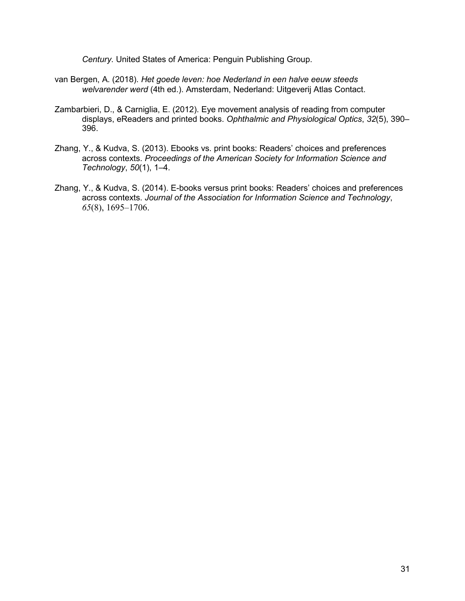*Century*. United States of America: Penguin Publishing Group.

- van Bergen, A. (2018). *Het goede leven: hoe Nederland in een halve eeuw steeds welvarender werd* (4th ed.). Amsterdam, Nederland: Uitgeverij Atlas Contact.
- Zambarbieri, D., & Carniglia, E. (2012). Eye movement analysis of reading from computer displays, eReaders and printed books. *Ophthalmic and Physiological Optics*, *32*(5), 390– 396.
- Zhang, Y., & Kudva, S. (2013). Ebooks vs. print books: Readers' choices and preferences across contexts. *Proceedings of the American Society for Information Science and Technology*, *50*(1), 1–4.
- Zhang, Y., & Kudva, S. (2014). E-books versus print books: Readers' choices and preferences across contexts. *Journal of the Association for Information Science and Technology*, *65*(8), 1695–1706.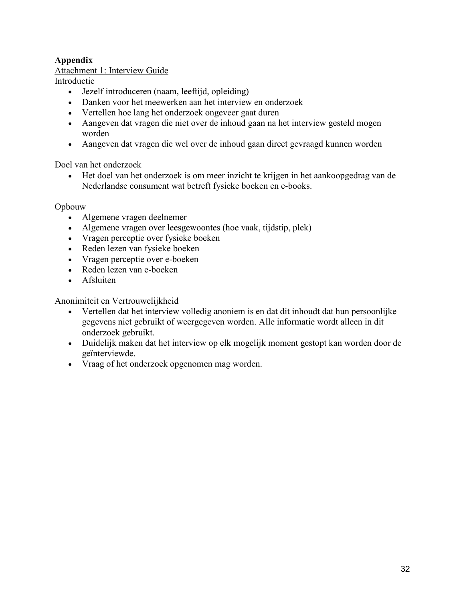# **Appendix**

# Attachment 1: Interview Guide

Introductie

- Jezelf introduceren (naam, leeftijd, opleiding)
- Danken voor het meewerken aan het interview en onderzoek
- Vertellen hoe lang het onderzoek ongeveer gaat duren
- Aangeven dat vragen die niet over de inhoud gaan na het interview gesteld mogen worden
- Aangeven dat vragen die wel over de inhoud gaan direct gevraagd kunnen worden

Doel van het onderzoek

• Het doel van het onderzoek is om meer inzicht te krijgen in het aankoopgedrag van de Nederlandse consument wat betreft fysieke boeken en e-books.

Opbouw

- Algemene vragen deelnemer
- Algemene vragen over leesgewoontes (hoe vaak, tijdstip, plek)
- Vragen perceptie over fysieke boeken
- Reden lezen van fysieke boeken
- Vragen perceptie over e-boeken
- Reden lezen van e-boeken
- Afsluiten

Anonimiteit en Vertrouwelijkheid

- Vertellen dat het interview volledig anoniem is en dat dit inhoudt dat hun persoonlijke gegevens niet gebruikt of weergegeven worden. Alle informatie wordt alleen in dit onderzoek gebruikt.
- Duidelijk maken dat het interview op elk mogelijk moment gestopt kan worden door de geïnterviewde.
- Vraag of het onderzoek opgenomen mag worden.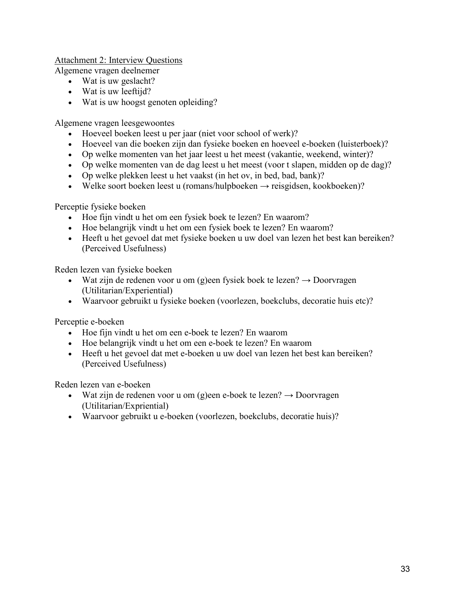Attachment 2: Interview Questions

Algemene vragen deelnemer

- Wat is uw geslacht?
- Wat is uw leeftijd?
- Wat is uw hoogst genoten opleiding?

Algemene vragen leesgewoontes

- Hoeveel boeken leest u per jaar (niet voor school of werk)?
- Hoeveel van die boeken zijn dan fysieke boeken en hoeveel e-boeken (luisterboek)?
- Op welke momenten van het jaar leest u het meest (vakantie, weekend, winter)?
- Op welke momenten van de dag leest u het meest (voor t slapen, midden op de dag)?
- Op welke plekken leest u het vaakst (in het ov, in bed, bad, bank)?
- Welke soort boeken leest u (romans/hulpboeken  $\rightarrow$  reisgidsen, kookboeken)?

Perceptie fysieke boeken

- Hoe fijn vindt u het om een fysiek boek te lezen? En waarom?
- Hoe belangrijk vindt u het om een fysiek boek te lezen? En waarom?
- Heeft u het gevoel dat met fysieke boeken u uw doel van lezen het best kan bereiken? (Perceived Usefulness)

Reden lezen van fysieke boeken

- Wat zijn de redenen voor u om (g)een fysiek boek te lezen?  $\rightarrow$  Doorvragen (Utilitarian/Experiential)
- Waarvoor gebruikt u fysieke boeken (voorlezen, boekclubs, decoratie huis etc)?

Perceptie e-boeken

- Hoe fijn vindt u het om een e-boek te lezen? En waarom
- Hoe belangrijk vindt u het om een e-boek te lezen? En waarom
- Heeft u het gevoel dat met e-boeken u uw doel van lezen het best kan bereiken? (Perceived Usefulness)

Reden lezen van e-boeken

- Wat zijn de redenen voor u om (g)een e-boek te lezen?  $\rightarrow$  Doorvragen (Utilitarian/Expriential)
- Waarvoor gebruikt u e-boeken (voorlezen, boekclubs, decoratie huis)?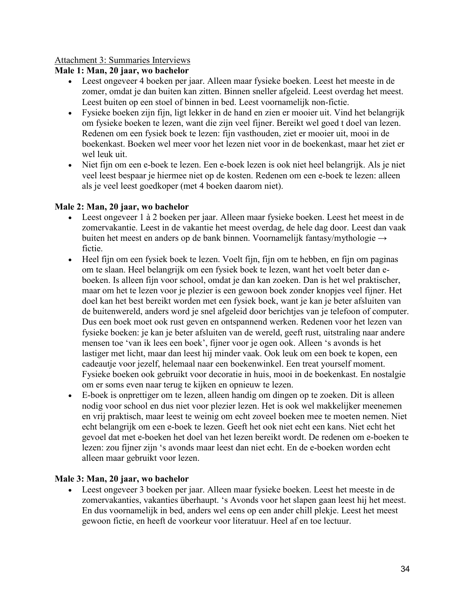# Attachment 3: Summaries Interviews

# **Male 1: Man, 20 jaar, wo bachelor**

- Leest ongeveer 4 boeken per jaar. Alleen maar fysieke boeken. Leest het meeste in de zomer, omdat je dan buiten kan zitten. Binnen sneller afgeleid. Leest overdag het meest. Leest buiten op een stoel of binnen in bed. Leest voornamelijk non-fictie.
- Fysieke boeken zijn fijn, ligt lekker in de hand en zien er mooier uit. Vind het belangrijk om fysieke boeken te lezen, want die zijn veel fijner. Bereikt wel goed t doel van lezen. Redenen om een fysiek boek te lezen: fijn vasthouden, ziet er mooier uit, mooi in de boekenkast. Boeken wel meer voor het lezen niet voor in de boekenkast, maar het ziet er wel leuk uit.
- Niet fijn om een e-boek te lezen. Een e-boek lezen is ook niet heel belangrijk. Als je niet veel leest bespaar je hiermee niet op de kosten. Redenen om een e-boek te lezen: alleen als je veel leest goedkoper (met 4 boeken daarom niet).

# **Male 2: Man, 20 jaar, wo bachelor**

- Leest ongeveer 1 à 2 boeken per jaar. Alleen maar fysieke boeken. Leest het meest in de zomervakantie. Leest in de vakantie het meest overdag, de hele dag door. Leest dan vaak buiten het meest en anders op de bank binnen. Voornamelijk fantasy/mythologie → fictie.
- Heel fijn om een fysiek boek te lezen. Voelt fijn, fijn om te hebben, en fijn om paginas om te slaan. Heel belangrijk om een fysiek boek te lezen, want het voelt beter dan eboeken. Is alleen fijn voor school, omdat je dan kan zoeken. Dan is het wel praktischer, maar om het te lezen voor je plezier is een gewoon boek zonder knopjes veel fijner. Het doel kan het best bereikt worden met een fysiek boek, want je kan je beter afsluiten van de buitenwereld, anders word je snel afgeleid door berichtjes van je telefoon of computer. Dus een boek moet ook rust geven en ontspannend werken. Redenen voor het lezen van fysieke boeken: je kan je beter afsluiten van de wereld, geeft rust, uitstraling naar andere mensen toe 'van ik lees een boek', fijner voor je ogen ook. Alleen 's avonds is het lastiger met licht, maar dan leest hij minder vaak. Ook leuk om een boek te kopen, een cadeautje voor jezelf, helemaal naar een boekenwinkel. Een treat yourself moment. Fysieke boeken ook gebruikt voor decoratie in huis, mooi in de boekenkast. En nostalgie om er soms even naar terug te kijken en opnieuw te lezen.
- E-boek is onprettiger om te lezen, alleen handig om dingen op te zoeken. Dit is alleen nodig voor school en dus niet voor plezier lezen. Het is ook wel makkelijker meenemen en vrij praktisch, maar leest te weinig om echt zoveel boeken mee te moeten nemen. Niet echt belangrijk om een e-boek te lezen. Geeft het ook niet echt een kans. Niet echt het gevoel dat met e-boeken het doel van het lezen bereikt wordt. De redenen om e-boeken te lezen: zou fijner zijn 's avonds maar leest dan niet echt. En de e-boeken worden echt alleen maar gebruikt voor lezen.

# **Male 3: Man, 20 jaar, wo bachelor**

• Leest ongeveer 3 boeken per jaar. Alleen maar fysieke boeken. Leest het meeste in de zomervakanties, vakanties überhaupt. 's Avonds voor het slapen gaan leest hij het meest. En dus voornamelijk in bed, anders wel eens op een ander chill plekje. Leest het meest gewoon fictie, en heeft de voorkeur voor literatuur. Heel af en toe lectuur.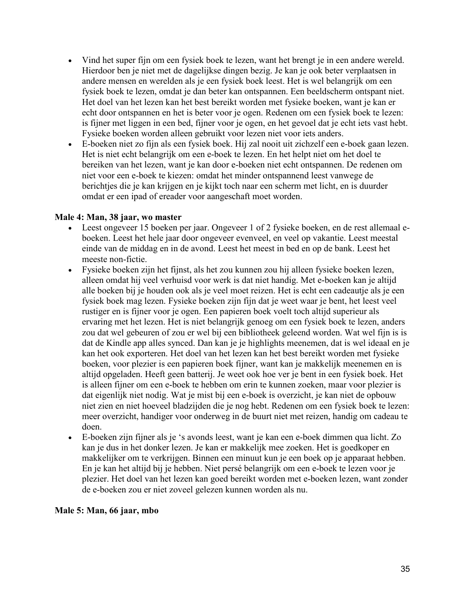- Vind het super fijn om een fysiek boek te lezen, want het brengt je in een andere wereld. Hierdoor ben je niet met de dagelijkse dingen bezig. Je kan je ook beter verplaatsen in andere mensen en werelden als je een fysiek boek leest. Het is wel belangrijk om een fysiek boek te lezen, omdat je dan beter kan ontspannen. Een beeldscherm ontspant niet. Het doel van het lezen kan het best bereikt worden met fysieke boeken, want je kan er echt door ontspannen en het is beter voor je ogen. Redenen om een fysiek boek te lezen: is fijner met liggen in een bed, fijner voor je ogen, en het gevoel dat je echt iets vast hebt. Fysieke boeken worden alleen gebruikt voor lezen niet voor iets anders.
- E-boeken niet zo fijn als een fysiek boek. Hij zal nooit uit zichzelf een e-boek gaan lezen. Het is niet echt belangrijk om een e-boek te lezen. En het helpt niet om het doel te bereiken van het lezen, want je kan door e-boeken niet echt ontspannen. De redenen om niet voor een e-boek te kiezen: omdat het minder ontspannend leest vanwege de berichtjes die je kan krijgen en je kijkt toch naar een scherm met licht, en is duurder omdat er een ipad of ereader voor aangeschaft moet worden.

## **Male 4: Man, 38 jaar, wo master**

- Leest ongeveer 15 boeken per jaar. Ongeveer 1 of 2 fysieke boeken, en de rest allemaal eboeken. Leest het hele jaar door ongeveer evenveel, en veel op vakantie. Leest meestal einde van de middag en in de avond. Leest het meest in bed en op de bank. Leest het meeste non-fictie.
- Fysieke boeken zijn het fijnst, als het zou kunnen zou hij alleen fysieke boeken lezen, alleen omdat hij veel verhuisd voor werk is dat niet handig. Met e-boeken kan je altijd alle boeken bij je houden ook als je veel moet reizen. Het is echt een cadeautje als je een fysiek boek mag lezen. Fysieke boeken zijn fijn dat je weet waar je bent, het leest veel rustiger en is fijner voor je ogen. Een papieren boek voelt toch altijd superieur als ervaring met het lezen. Het is niet belangrijk genoeg om een fysiek boek te lezen, anders zou dat wel gebeuren of zou er wel bij een bibliotheek geleend worden. Wat wel fijn is is dat de Kindle app alles synced. Dan kan je je highlights meenemen, dat is wel ideaal en je kan het ook exporteren. Het doel van het lezen kan het best bereikt worden met fysieke boeken, voor plezier is een papieren boek fijner, want kan je makkelijk meenemen en is altijd opgeladen. Heeft geen batterij. Je weet ook hoe ver je bent in een fysiek boek. Het is alleen fijner om een e-boek te hebben om erin te kunnen zoeken, maar voor plezier is dat eigenlijk niet nodig. Wat je mist bij een e-boek is overzicht, je kan niet de opbouw niet zien en niet hoeveel bladzijden die je nog hebt. Redenen om een fysiek boek te lezen: meer overzicht, handiger voor onderweg in de buurt niet met reizen, handig om cadeau te doen.
- E-boeken zijn fijner als je 's avonds leest, want je kan een e-boek dimmen qua licht. Zo kan je dus in het donker lezen. Je kan er makkelijk mee zoeken. Het is goedkoper en makkelijker om te verkrijgen. Binnen een minuut kun je een boek op je apparaat hebben. En je kan het altijd bij je hebben. Niet persé belangrijk om een e-boek te lezen voor je plezier. Het doel van het lezen kan goed bereikt worden met e-boeken lezen, want zonder de e-boeken zou er niet zoveel gelezen kunnen worden als nu.

## **Male 5: Man, 66 jaar, mbo**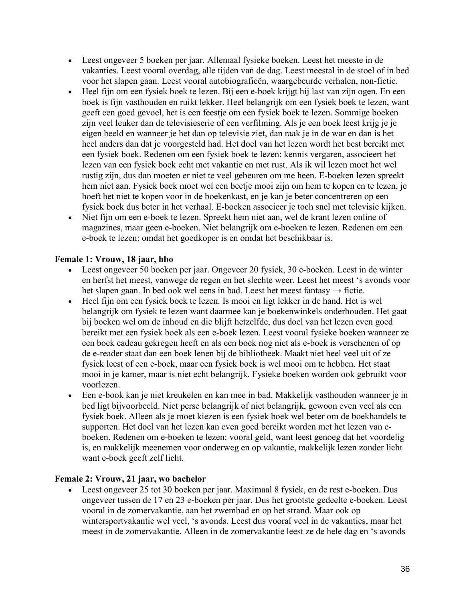- Leest ongeveer 5 boeken per jaar. Allemaal fysieke boeken. Leest het meeste in de vakanties. Leest vooral overdag, alle tijden van de dag. Leest meestal in de stoel of in bed voor het slapen gaan. Leest vooral autobiografieën, waargebeurde verhalen, non-fictie.
- Heel fijn om een fysiek boek te lezen. Bij een e-boek krijgt hij last van zijn ogen. En een boek is fijn vasthouden en ruikt lekker. Heel belangrijk om een fysiek boek te lezen, want geeft een goed gevoel, het is een feestje om een fysiek boek te lezen. Sommige boeken zijn veel leuker dan de televisieserie of een verfilming. Als je een boek leest krijg je je eigen beeld en wanneer je het dan op televisie ziet, dan raak je in de war en dan is het heel anders dan dat je voorgesteld had. Het doel van het lezen wordt het best bereikt met een fysiek boek. Redenen om een fysiek boek te lezen: kennis vergaren, associeert het lezen van een fysiek boek echt met vakantie en met rust. Als ik wil lezen moet het wel rustig zijn, dus dan moeten er niet te veel gebeuren om me heen. E-boeken lezen spreekt hem niet aan. Fysiek boek moet wel een beetje mooi zijn om hem te kopen en te lezen, je hoeft het niet te kopen voor in de boekenkast, en je kan je beter concentreren op een fysiek boek dus beter in het verhaal. E-boeken associeer je toch snel met televisie kijken.
- Niet fijn om een e-boek te lezen. Spreekt hem niet aan, wel de krant lezen online of magazines, maar geen e-boeken. Niet belangrijk om e-boeken te lezen. Redenen om een e-boek te lezen: omdat het goedkoper is en omdat het beschikbaar is.

# **Female 1: Vrouw, 18 jaar, hbo**

- Leest ongeveer 50 boeken per jaar. Ongeveer 20 fysiek, 30 e-boeken. Leest in de winter en herfst het meest, vanwege de regen en het slechte weer. Leest het meest 's avonds voor het slapen gaan. In bed ook wel eens in bad. Leest het meest fantasy  $\rightarrow$  fictie.
- Heel fijn om een fysiek boek te lezen. Is mooi en ligt lekker in de hand. Het is wel belangrijk om fysiek te lezen want daarmee kan je boekenwinkels onderhouden. Het gaat bij boeken wel om de inhoud en die blijft hetzelfde, dus doel van het lezen even goed bereikt met een fysiek boek als een e-boek lezen. Leest vooral fysieke boeken wanneer ze een boek cadeau gekregen heeft en als een boek nog niet als e-boek is verschenen of op de e-reader staat dan een boek lenen bij de bibliotheek. Maakt niet heel veel uit of ze fysiek leest of een e-boek, maar een fysiek boek is wel mooi om te hebben. Het staat mooi in je kamer, maar is niet echt belangrijk. Fysieke boeken worden ook gebruikt voor voorlezen.
- Een e-book kan je niet kreukelen en kan mee in bad. Makkelijk vasthouden wanneer je in bed ligt bijvoorbeeld. Niet perse belangrijk of niet belangrijk, gewoon even veel als een fysiek boek. Alleen als je moet kiezen is een fysiek boek wel beter om de boekhandels te supporten. Het doel van het lezen kan even goed bereikt worden met het lezen van eboeken. Redenen om e-boeken te lezen: vooral geld, want leest genoeg dat het voordelig is, en makkelijk meenemen voor onderweg en op vakantie, makkelijk lezen zonder licht want e-boek geeft zelf licht.

# **Female 2: Vrouw, 21 jaar, wo bachelor**

• Leest ongeveer 25 tot 30 boeken per jaar. Maximaal 8 fysiek, en de rest e-boeken. Dus ongeveer tussen de 17 en 23 e-boeken per jaar. Dus het grootste gedeelte e-boeken. Leest vooral in de zomervakantie, aan het zwembad en op het strand. Maar ook op wintersportvakantie wel veel, 's avonds. Leest dus vooral veel in de vakanties, maar het meest in de zomervakantie. Alleen in de zomervakantie leest ze de hele dag en 's avonds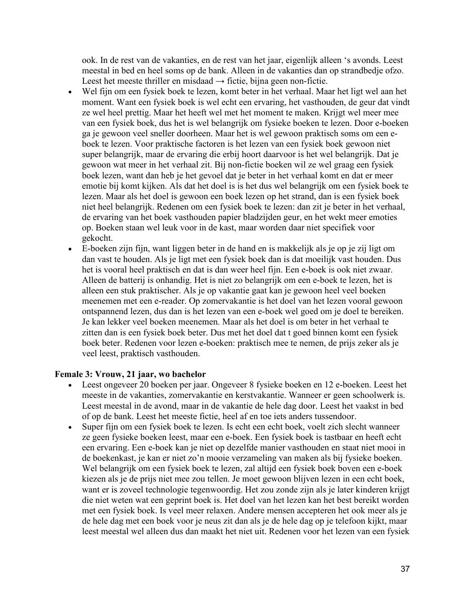ook. In de rest van de vakanties, en de rest van het jaar, eigenlijk alleen 's avonds. Leest meestal in bed en heel soms op de bank. Alleen in de vakanties dan op strandbedje ofzo. Leest het meeste thriller en misdaad  $\rightarrow$  fictie, bijna geen non-fictie.

- Wel fijn om een fysiek boek te lezen, komt beter in het verhaal. Maar het ligt wel aan het moment. Want een fysiek boek is wel echt een ervaring, het vasthouden, de geur dat vindt ze wel heel prettig. Maar het heeft wel met het moment te maken. Krijgt wel meer mee van een fysiek boek, dus het is wel belangrijk om fysieke boeken te lezen. Door e-boeken ga je gewoon veel sneller doorheen. Maar het is wel gewoon praktisch soms om een eboek te lezen. Voor praktische factoren is het lezen van een fysiek boek gewoon niet super belangrijk, maar de ervaring die erbij hoort daarvoor is het wel belangrijk. Dat je gewoon wat meer in het verhaal zit. Bij non-fictie boeken wil ze wel graag een fysiek boek lezen, want dan heb je het gevoel dat je beter in het verhaal komt en dat er meer emotie bij komt kijken. Als dat het doel is is het dus wel belangrijk om een fysiek boek te lezen. Maar als het doel is gewoon een boek lezen op het strand, dan is een fysiek boek niet heel belangrijk. Redenen om een fysiek boek te lezen: dan zit je beter in het verhaal, de ervaring van het boek vasthouden papier bladzijden geur, en het wekt meer emoties op. Boeken staan wel leuk voor in de kast, maar worden daar niet specifiek voor gekocht.
- E-boeken zijn fijn, want liggen beter in de hand en is makkelijk als je op je zij ligt om dan vast te houden. Als je ligt met een fysiek boek dan is dat moeilijk vast houden. Dus het is vooral heel praktisch en dat is dan weer heel fijn. Een e-boek is ook niet zwaar. Alleen de batterij is onhandig. Het is niet zo belangrijk om een e-boek te lezen, het is alleen een stuk praktischer. Als je op vakantie gaat kan je gewoon heel veel boeken meenemen met een e-reader. Op zomervakantie is het doel van het lezen vooral gewoon ontspannend lezen, dus dan is het lezen van een e-boek wel goed om je doel te bereiken. Je kan lekker veel boeken meenemen. Maar als het doel is om beter in het verhaal te zitten dan is een fysiek boek beter. Dus met het doel dat t goed binnen komt een fysiek boek beter. Redenen voor lezen e-boeken: praktisch mee te nemen, de prijs zeker als je veel leest, praktisch vasthouden.

## **Female 3: Vrouw, 21 jaar, wo bachelor**

- Leest ongeveer 20 boeken per jaar. Ongeveer 8 fysieke boeken en 12 e-boeken. Leest het meeste in de vakanties, zomervakantie en kerstvakantie. Wanneer er geen schoolwerk is. Leest meestal in de avond, maar in de vakantie de hele dag door. Leest het vaakst in bed of op de bank. Leest het meeste fictie, heel af en toe iets anders tussendoor.
- Super fijn om een fysiek boek te lezen. Is echt een echt boek, voelt zich slecht wanneer ze geen fysieke boeken leest, maar een e-boek. Een fysiek boek is tastbaar en heeft echt een ervaring. Een e-boek kan je niet op dezelfde manier vasthouden en staat niet mooi in de boekenkast, je kan er niet zo'n mooie verzameling van maken als bij fysieke boeken. Wel belangrijk om een fysiek boek te lezen, zal altijd een fysiek boek boven een e-boek kiezen als je de prijs niet mee zou tellen. Je moet gewoon blijven lezen in een echt boek, want er is zoveel technologie tegenwoordig. Het zou zonde zijn als je later kinderen krijgt die niet weten wat een geprint boek is. Het doel van het lezen kan het best bereikt worden met een fysiek boek. Is veel meer relaxen. Andere mensen accepteren het ook meer als je de hele dag met een boek voor je neus zit dan als je de hele dag op je telefoon kijkt, maar leest meestal wel alleen dus dan maakt het niet uit. Redenen voor het lezen van een fysiek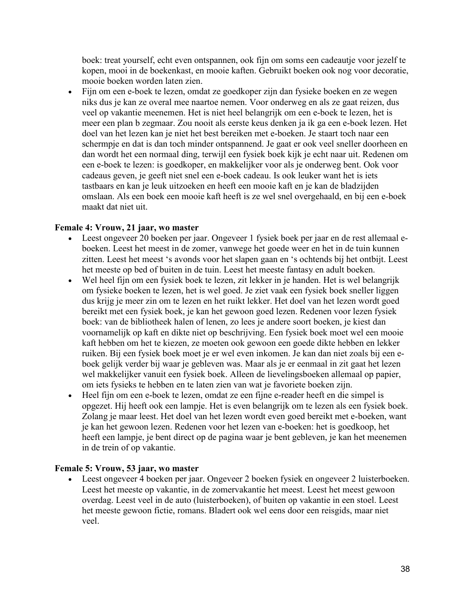boek: treat yourself, echt even ontspannen, ook fijn om soms een cadeautje voor jezelf te kopen, mooi in de boekenkast, en mooie kaften. Gebruikt boeken ook nog voor decoratie, mooie boeken worden laten zien.

• Fijn om een e-boek te lezen, omdat ze goedkoper zijn dan fysieke boeken en ze wegen niks dus je kan ze overal mee naartoe nemen. Voor onderweg en als ze gaat reizen, dus veel op vakantie meenemen. Het is niet heel belangrijk om een e-boek te lezen, het is meer een plan b zegmaar. Zou nooit als eerste keus denken ja ik ga een e-boek lezen. Het doel van het lezen kan je niet het best bereiken met e-boeken. Je staart toch naar een schermpje en dat is dan toch minder ontspannend. Je gaat er ook veel sneller doorheen en dan wordt het een normaal ding, terwijl een fysiek boek kijk je echt naar uit. Redenen om een e-boek te lezen: is goedkoper, en makkelijker voor als je onderweg bent. Ook voor cadeaus geven, je geeft niet snel een e-boek cadeau. Is ook leuker want het is iets tastbaars en kan je leuk uitzoeken en heeft een mooie kaft en je kan de bladzijden omslaan. Als een boek een mooie kaft heeft is ze wel snel overgehaald, en bij een e-boek maakt dat niet uit.

# **Female 4: Vrouw, 21 jaar, wo master**

- Leest ongeveer 20 boeken per jaar. Ongeveer 1 fysiek boek per jaar en de rest allemaal eboeken. Leest het meest in de zomer, vanwege het goede weer en het in de tuin kunnen zitten. Leest het meest 's avonds voor het slapen gaan en 's ochtends bij het ontbijt. Leest het meeste op bed of buiten in de tuin. Leest het meeste fantasy en adult boeken.
- Wel heel fijn om een fysiek boek te lezen, zit lekker in je handen. Het is wel belangrijk om fysieke boeken te lezen, het is wel goed. Je ziet vaak een fysiek boek sneller liggen dus krijg je meer zin om te lezen en het ruikt lekker. Het doel van het lezen wordt goed bereikt met een fysiek boek, je kan het gewoon goed lezen. Redenen voor lezen fysiek boek: van de bibliotheek halen of lenen, zo lees je andere soort boeken, je kiest dan voornamelijk op kaft en dikte niet op beschrijving. Een fysiek boek moet wel een mooie kaft hebben om het te kiezen, ze moeten ook gewoon een goede dikte hebben en lekker ruiken. Bij een fysiek boek moet je er wel even inkomen. Je kan dan niet zoals bij een eboek gelijk verder bij waar je gebleven was. Maar als je er eenmaal in zit gaat het lezen wel makkelijker vanuit een fysiek boek. Alleen de lievelingsboeken allemaal op papier, om iets fysieks te hebben en te laten zien van wat je favoriete boeken zijn.
- Heel fijn om een e-boek te lezen, omdat ze een fijne e-reader heeft en die simpel is opgezet. Hij heeft ook een lampje. Het is even belangrijk om te lezen als een fysiek boek. Zolang je maar leest. Het doel van het lezen wordt even goed bereikt met e-boeken, want je kan het gewoon lezen. Redenen voor het lezen van e-boeken: het is goedkoop, het heeft een lampje, je bent direct op de pagina waar je bent gebleven, je kan het meenemen in de trein of op vakantie.

## **Female 5: Vrouw, 53 jaar, wo master**

• Leest ongeveer 4 boeken per jaar. Ongeveer 2 boeken fysiek en ongeveer 2 luisterboeken. Leest het meeste op vakantie, in de zomervakantie het meest. Leest het meest gewoon overdag. Leest veel in de auto (luisterboeken), of buiten op vakantie in een stoel. Leest het meeste gewoon fictie, romans. Bladert ook wel eens door een reisgids, maar niet veel.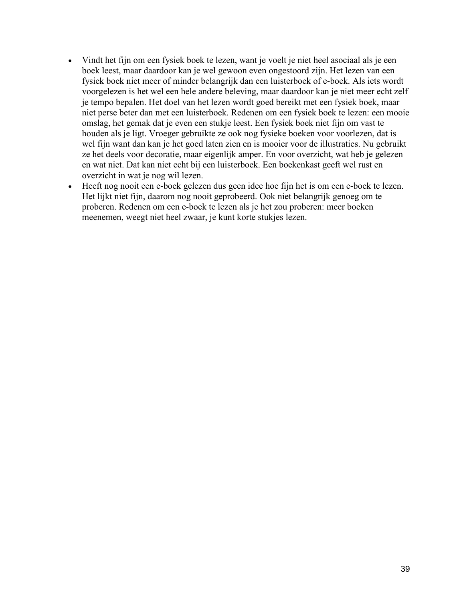- Vindt het fijn om een fysiek boek te lezen, want je voelt je niet heel asociaal als je een boek leest, maar daardoor kan je wel gewoon even ongestoord zijn. Het lezen van een fysiek boek niet meer of minder belangrijk dan een luisterboek of e-boek. Als iets wordt voorgelezen is het wel een hele andere beleving, maar daardoor kan je niet meer echt zelf je tempo bepalen. Het doel van het lezen wordt goed bereikt met een fysiek boek, maar niet perse beter dan met een luisterboek. Redenen om een fysiek boek te lezen: een mooie omslag, het gemak dat je even een stukje leest. Een fysiek boek niet fijn om vast te houden als je ligt. Vroeger gebruikte ze ook nog fysieke boeken voor voorlezen, dat is wel fijn want dan kan je het goed laten zien en is mooier voor de illustraties. Nu gebruikt ze het deels voor decoratie, maar eigenlijk amper. En voor overzicht, wat heb je gelezen en wat niet. Dat kan niet echt bij een luisterboek. Een boekenkast geeft wel rust en overzicht in wat je nog wil lezen.
- Heeft nog nooit een e-boek gelezen dus geen idee hoe fijn het is om een e-boek te lezen. Het lijkt niet fijn, daarom nog nooit geprobeerd. Ook niet belangrijk genoeg om te proberen. Redenen om een e-boek te lezen als je het zou proberen: meer boeken meenemen, weegt niet heel zwaar, je kunt korte stukjes lezen.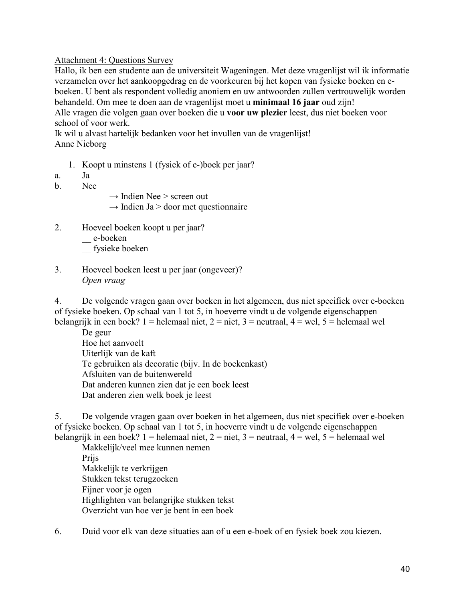## Attachment 4: Questions Survey

Hallo, ik ben een studente aan de universiteit Wageningen. Met deze vragenlijst wil ik informatie verzamelen over het aankoopgedrag en de voorkeuren bij het kopen van fysieke boeken en eboeken. U bent als respondent volledig anoniem en uw antwoorden zullen vertrouwelijk worden behandeld. Om mee te doen aan de vragenlijst moet u **minimaal 16 jaar** oud zijn! Alle vragen die volgen gaan over boeken die u **voor uw plezier** leest, dus niet boeken voor

school of voor werk.

Ik wil u alvast hartelijk bedanken voor het invullen van de vragenlijst! Anne Nieborg

- 1. Koopt u minstens 1 (fysiek of e-)boek per jaar?
- a. Ja
- b. Nee
- $\rightarrow$  Indien Nee > screen out
- $\rightarrow$  Indien Ja > door met questionnaire
- 2. Hoeveel boeken koopt u per jaar?

e-boeken

\_\_ fysieke boeken

3. Hoeveel boeken leest u per jaar (ongeveer)? *Open vraag*

4. De volgende vragen gaan over boeken in het algemeen, dus niet specifiek over e-boeken of fysieke boeken. Op schaal van 1 tot 5, in hoeverre vindt u de volgende eigenschappen belangrijk in een boek? 1 = helemaal niet, 2 = niet, 3 = neutraal, 4 = wel, 5 = helemaal wel

De geur Hoe het aanvoelt Uiterlijk van de kaft Te gebruiken als decoratie (bijv. In de boekenkast) Afsluiten van de buitenwereld Dat anderen kunnen zien dat je een boek leest Dat anderen zien welk boek je leest

5. De volgende vragen gaan over boeken in het algemeen, dus niet specifiek over e-boeken of fysieke boeken. Op schaal van 1 tot 5, in hoeverre vindt u de volgende eigenschappen belangrijk in een boek? 1 = helemaal niet, 2 = niet, 3 = neutraal, 4 = wel, 5 = helemaal wel

Makkelijk/veel mee kunnen nemen Prijs Makkelijk te verkrijgen Stukken tekst terugzoeken Fijner voor je ogen Highlighten van belangrijke stukken tekst Overzicht van hoe ver je bent in een boek

6. Duid voor elk van deze situaties aan of u een e-boek of en fysiek boek zou kiezen.